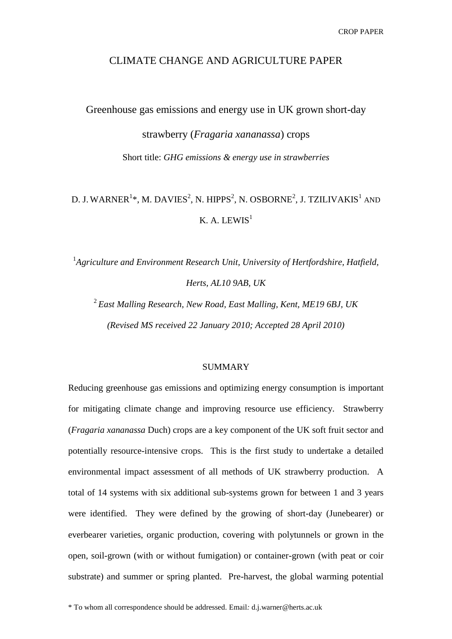# CLIMATE CHANGE AND AGRICULTURE PAPER

Greenhouse gas emissions and energy use in UK grown short-day

strawberry (*Fragaria xananassa*) crops Short title: *GHG emissions & energy use in strawberries*

# D. J. WARNER $^{1*}$ , M. DAVIES $^{2}$ , N. HIPPS $^{2}$ , N. OSBORNE $^{2}$ , J. TZILIVAKIS $^{1}$  and K. A. LEWIS<sup>1</sup>

<sup>1</sup>Agriculture and Environment Research Unit, University of Hertfordshire, Hatfield, *Herts, AL10 9AB, UK*

2 *East Malling Research, New Road, East Malling, Kent, ME19 6BJ, UK (Revised MS received 22 January 2010; Accepted 28 April 2010)*

#### **SUMMARY**

Reducing greenhouse gas emissions and optimizing energy consumption is important for mitigating climate change and improving resource use efficiency. Strawberry (*Fragaria xananassa* Duch) crops are a key component of the UK soft fruit sector and potentially resource-intensive crops. This is the first study to undertake a detailed environmental impact assessment of all methods of UK strawberry production. A total of 14 systems with six additional sub-systems grown for between 1 and 3 years were identified. They were defined by the growing of short-day (Junebearer) or everbearer varieties, organic production, covering with polytunnels or grown in the open, soil-grown (with or without fumigation) or container-grown (with peat or coir substrate) and summer or spring planted. Pre-harvest, the global warming potential

\* To whom all correspondence should be addressed. Email*:* d.j.warner@herts.ac.uk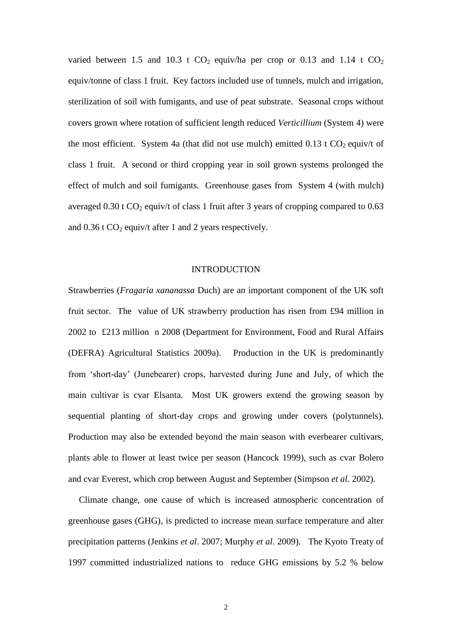varied between 1.5 and 10.3 t  $CO_2$  equiv/ha per crop or 0.13 and 1.14 t  $CO_2$ equiv/tonne of class 1 fruit. Key factors included use of tunnels, mulch and irrigation, sterilization of soil with fumigants, and use of peat substrate. Seasonal crops without covers grown where rotation of sufficient length reduced *Verticillium* (System 4) were the most efficient. System 4a (that did not use mulch) emitted  $0.13$  t  $CO<sub>2</sub>$  equiv/t of class 1 fruit. A second or third cropping year in soil grown systems prolonged the effect of mulch and soil fumigants. Greenhouse gases from System 4 (with mulch) averaged  $0.30$  t CO<sub>2</sub> equiv/t of class 1 fruit after 3 years of cropping compared to  $0.63$ and  $0.36$  t CO<sub>2</sub> equiv/t after 1 and 2 years respectively.

### INTRODUCTION

Strawberries (*Fragaria xananassa* Duch) are an important component of the UK soft fruit sector. The value of UK strawberry production has risen from £94 million in 2002 to £213 million n 2008 (Department for Environment, Food and Rural Affairs (DEFRA) Agricultural Statistics 2009a). Production in the UK is predominantly from 'short-day' (Junebearer) crops, harvested during June and July, of which the main cultivar is cvar Elsanta. Most UK growers extend the growing season by sequential planting of short-day crops and growing under covers (polytunnels). Production may also be extended beyond the main season with everbearer cultivars, plants able to flower at least twice per season (Hancock 1999), such as cvar Bolero and cvar Everest, which crop between August and September (Simpson *et al*. 2002).

Climate change, one cause of which is increased atmospheric concentration of greenhouse gases (GHG), is predicted to increase mean surface temperature and alter precipitation patterns (Jenkins *et al*. 2007; Murphy *et al*. 2009). The Kyoto Treaty of 1997 committed industrialized nations to reduce GHG emissions by 5.2 % below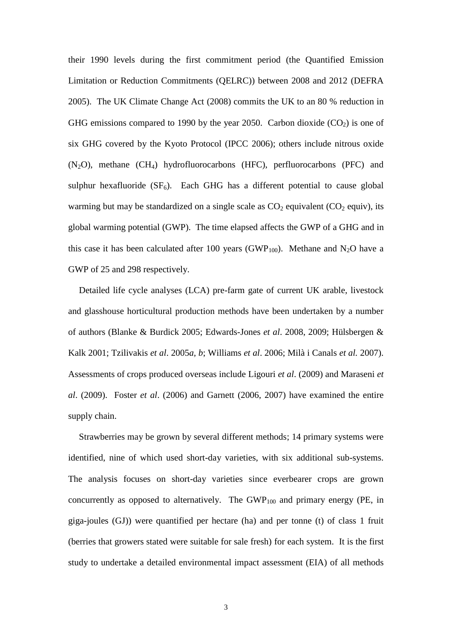their 1990 levels during the first commitment period (the Quantified Emission Limitation or Reduction Commitments (QELRC)) between 2008 and 2012 (DEFRA 2005). The UK Climate Change Act (2008) commits the UK to an 80 % reduction in GHG emissions compared to 1990 by the year 2050. Carbon dioxide  $(CO<sub>2</sub>)$  is one of six GHG covered by the Kyoto Protocol (IPCC 2006); others include nitrous oxide  $(N_2O)$ , methane  $(CH_4)$  hydrofluorocarbons (HFC), perfluorocarbons (PFC) and sulphur hexafluoride  $(SF_6)$ . Each GHG has a different potential to cause global warming but may be standardized on a single scale as  $CO<sub>2</sub>$  equivalent ( $CO<sub>2</sub>$  equiv), its global warming potential (GWP). The time elapsed affects the GWP of a GHG and in this case it has been calculated after 100 years (GWP<sub>100</sub>). Methane and N<sub>2</sub>O have a GWP of 25 and 298 respectively.

Detailed life cycle analyses (LCA) pre-farm gate of current UK arable, livestock and glasshouse horticultural production methods have been undertaken by a number of authors (Blanke & Burdick 2005; Edwards-Jones *et al*. 2008, 2009; Hülsbergen & Kalk 2001; Tzilivakis *et al*. 2005*a, b*; Williams *et al*. 2006; Milà i Canals *et al.* 2007). Assessments of crops produced overseas include Ligouri *et al*. (2009) and Maraseni *et al*. (2009). Foster *et al*. (2006) and Garnett (2006, 2007) have examined the entire supply chain.

Strawberries may be grown by several different methods; 14 primary systems were identified, nine of which used short-day varieties, with six additional sub-systems. The analysis focuses on short-day varieties since everbearer crops are grown concurrently as opposed to alternatively. The  $GWP_{100}$  and primary energy (PE, in giga-joules (GJ)) were quantified per hectare (ha) and per tonne (t) of class 1 fruit (berries that growers stated were suitable for sale fresh) for each system. It is the first study to undertake a detailed environmental impact assessment (EIA) of all methods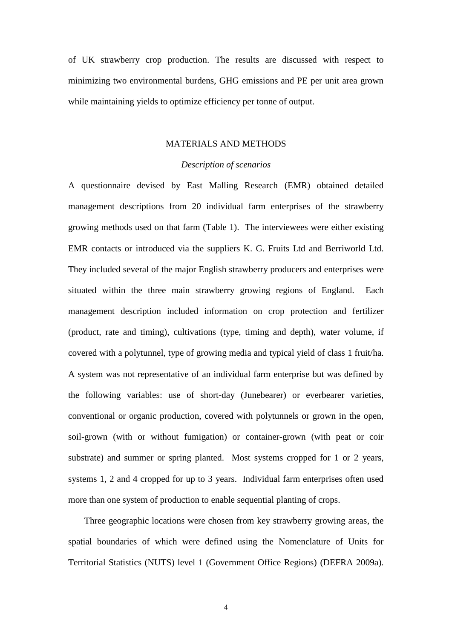of UK strawberry crop production. The results are discussed with respect to minimizing two environmental burdens, GHG emissions and PE per unit area grown while maintaining yields to optimize efficiency per tonne of output.

#### MATERIALS AND METHODS

#### *Description of scenarios*

A questionnaire devised by East Malling Research (EMR) obtained detailed management descriptions from 20 individual farm enterprises of the strawberry growing methods used on that farm (Table 1). The interviewees were either existing EMR contacts or introduced via the suppliers K. G. Fruits Ltd and Berriworld Ltd. They included several of the major English strawberry producers and enterprises were situated within the three main strawberry growing regions of England. Each management description included information on crop protection and fertilizer (product, rate and timing), cultivations (type, timing and depth), water volume, if covered with a polytunnel, type of growing media and typical yield of class 1 fruit/ha. A system was not representative of an individual farm enterprise but was defined by the following variables: use of short-day (Junebearer) or everbearer varieties, conventional or organic production, covered with polytunnels or grown in the open, soil-grown (with or without fumigation) or container-grown (with peat or coir substrate) and summer or spring planted. Most systems cropped for 1 or 2 years, systems 1, 2 and 4 cropped for up to 3 years. Individual farm enterprises often used more than one system of production to enable sequential planting of crops.

Three geographic locations were chosen from key strawberry growing areas, the spatial boundaries of which were defined using the Nomenclature of Units for Territorial Statistics (NUTS) level 1 (Government Office Regions) (DEFRA 2009a).

4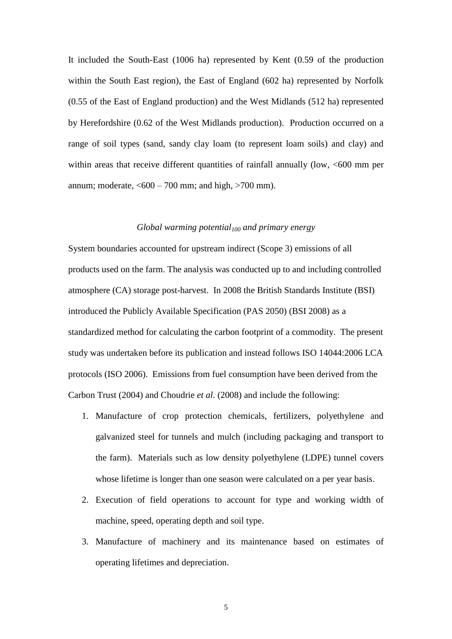It included the South-East (1006 ha) represented by Kent (0.59 of the production within the South East region), the East of England (602 ha) represented by Norfolk (0.55 of the East of England production) and the West Midlands (512 ha) represented by Herefordshire (0.62 of the West Midlands production). Production occurred on a range of soil types (sand, sandy clay loam (to represent loam soils) and clay) and within areas that receive different quantities of rainfall annually (low,  $<600$  mm per annum; moderate,  $<600 - 700$  mm; and high,  $>700$  mm).

#### *Global warming potential<sup>100</sup> and primary energy*

System boundaries accounted for upstream indirect (Scope 3) emissions of all products used on the farm. The analysis was conducted up to and including controlled atmosphere (CA) storage post-harvest. In 2008 the British Standards Institute (BSI) introduced the Publicly Available Specification (PAS 2050) (BSI 2008) as a standardized method for calculating the carbon footprint of a commodity. The present study was undertaken before its publication and instead follows ISO 14044:2006 LCA protocols (ISO 2006). Emissions from fuel consumption have been derived from the Carbon Trust (2004) and Choudrie *et al*. (2008) and include the following:

- 1. Manufacture of crop protection chemicals, fertilizers, polyethylene and galvanized steel for tunnels and mulch (including packaging and transport to the farm). Materials such as low density polyethylene (LDPE) tunnel covers whose lifetime is longer than one season were calculated on a per year basis.
- 2. Execution of field operations to account for type and working width of machine, speed, operating depth and soil type.
- 3. Manufacture of machinery and its maintenance based on estimates of operating lifetimes and depreciation.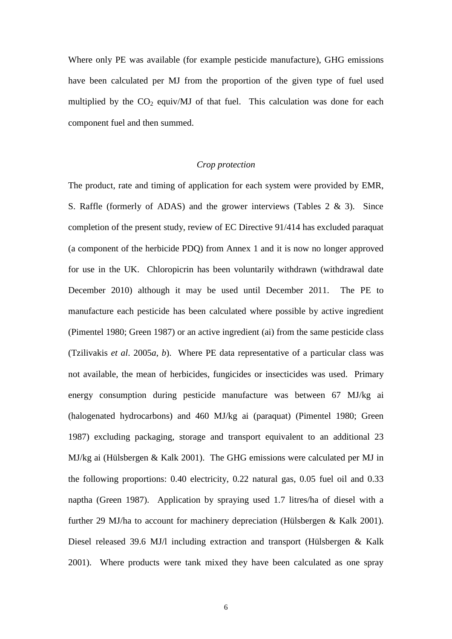Where only PE was available (for example pesticide manufacture), GHG emissions have been calculated per MJ from the proportion of the given type of fuel used multiplied by the  $CO<sub>2</sub>$  equiv/MJ of that fuel. This calculation was done for each component fuel and then summed.

### *Crop protection*

The product, rate and timing of application for each system were provided by EMR, S. Raffle (formerly of ADAS) and the grower interviews (Tables 2 & 3). Since completion of the present study, review of EC Directive 91/414 has excluded paraquat (a component of the herbicide PDQ) from Annex 1 and it is now no longer approved for use in the UK. Chloropicrin has been voluntarily withdrawn (withdrawal date December 2010) although it may be used until December 2011. The PE to manufacture each pesticide has been calculated where possible by active ingredient (Pimentel 1980; Green 1987) or an active ingredient (ai) from the same pesticide class (Tzilivakis *et al*. 2005*a*, *b*). Where PE data representative of a particular class was not available, the mean of herbicides, fungicides or insecticides was used. Primary energy consumption during pesticide manufacture was between 67 MJ/kg ai (halogenated hydrocarbons) and 460 MJ/kg ai (paraquat) (Pimentel 1980; Green 1987) excluding packaging, storage and transport equivalent to an additional 23 MJ/kg ai (Hülsbergen & Kalk 2001). The GHG emissions were calculated per MJ in the following proportions: 0.40 electricity, 0.22 natural gas, 0.05 fuel oil and 0.33 naptha (Green 1987). Application by spraying used 1.7 litres/ha of diesel with a further 29 MJ/ha to account for machinery depreciation (Hülsbergen & Kalk 2001). Diesel released 39.6 MJ/l including extraction and transport (Hülsbergen & Kalk 2001). Where products were tank mixed they have been calculated as one spray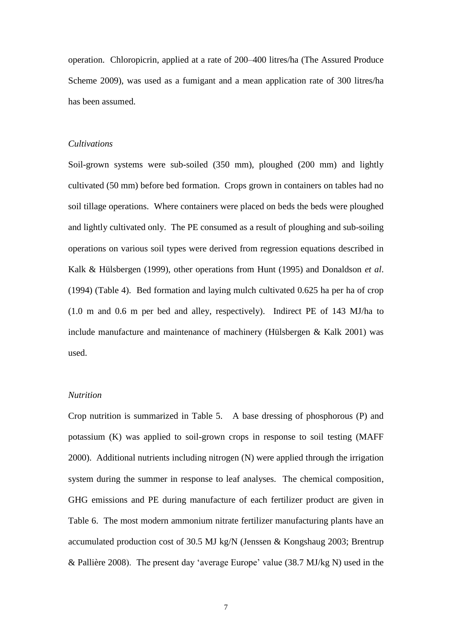operation. Chloropicrin, applied at a rate of 200–400 litres/ha (The Assured Produce Scheme 2009), was used as a fumigant and a mean application rate of 300 litres/ha has been assumed.

#### *Cultivations*

Soil-grown systems were sub-soiled (350 mm), ploughed (200 mm) and lightly cultivated (50 mm) before bed formation. Crops grown in containers on tables had no soil tillage operations. Where containers were placed on beds the beds were ploughed and lightly cultivated only. The PE consumed as a result of ploughing and sub-soiling operations on various soil types were derived from regression equations described in Kalk & Hülsbergen (1999), other operations from Hunt (1995) and Donaldson *et al*. (1994) (Table 4). Bed formation and laying mulch cultivated 0.625 ha per ha of crop (1.0 m and 0.6 m per bed and alley, respectively). Indirect PE of 143 MJ/ha to include manufacture and maintenance of machinery (Hülsbergen & Kalk 2001) was used.

### *Nutrition*

Crop nutrition is summarized in Table 5. A base dressing of phosphorous (P) and potassium (K) was applied to soil-grown crops in response to soil testing (MAFF 2000). Additional nutrients including nitrogen (N) were applied through the irrigation system during the summer in response to leaf analyses. The chemical composition, GHG emissions and PE during manufacture of each fertilizer product are given in Table 6. The most modern ammonium nitrate fertilizer manufacturing plants have an accumulated production cost of 30.5 MJ kg/N (Jenssen & Kongshaug 2003; Brentrup & Pallière 2008). The present day 'average Europe' value (38.7 MJ/kg N) used in the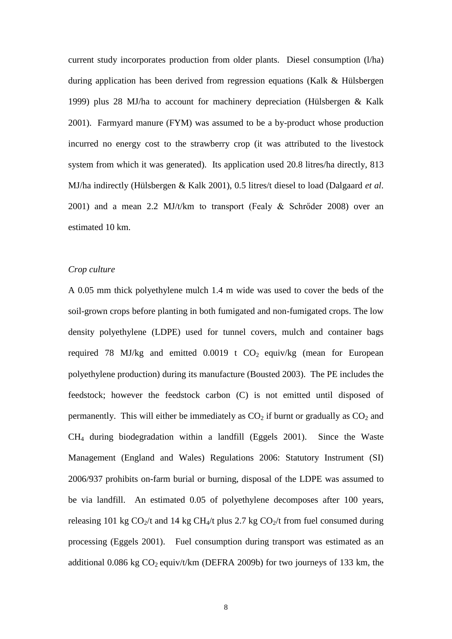current study incorporates production from older plants. Diesel consumption (l/ha) during application has been derived from regression equations (Kalk & Hülsbergen 1999) plus 28 MJ/ha to account for machinery depreciation (Hülsbergen & Kalk 2001). Farmyard manure (FYM) was assumed to be a by-product whose production incurred no energy cost to the strawberry crop (it was attributed to the livestock system from which it was generated). Its application used 20.8 litres/ha directly, 813 MJ/ha indirectly (Hülsbergen & Kalk 2001), 0.5 litres/t diesel to load (Dalgaard *et al*. 2001) and a mean 2.2 MJ/t/km to transport (Fealy & Schrőder 2008) over an estimated 10 km.

# *Crop culture*

A 0.05 mm thick polyethylene mulch 1.4 m wide was used to cover the beds of the soil-grown crops before planting in both fumigated and non-fumigated crops. The low density polyethylene (LDPE) used for tunnel covers, mulch and container bags required 78 MJ/kg and emitted  $0.0019$  t CO<sub>2</sub> equiv/kg (mean for European polyethylene production) during its manufacture (Bousted 2003). The PE includes the feedstock; however the feedstock carbon (C) is not emitted until disposed of permanently. This will either be immediately as  $CO<sub>2</sub>$  if burnt or gradually as  $CO<sub>2</sub>$  and CH<sup>4</sup> during biodegradation within a landfill (Eggels 2001). Since the Waste Management (England and Wales) Regulations 2006: Statutory Instrument (SI) 2006/937 prohibits on-farm burial or burning, disposal of the LDPE was assumed to be via landfill. An estimated 0.05 of polyethylene decomposes after 100 years, releasing 101 kg  $CO_2/t$  and 14 kg CH<sub>4</sub>/t plus 2.7 kg  $CO_2/t$  from fuel consumed during processing (Eggels 2001). Fuel consumption during transport was estimated as an additional 0.086 kg  $CO_2$  equiv/t/km (DEFRA 2009b) for two journeys of 133 km, the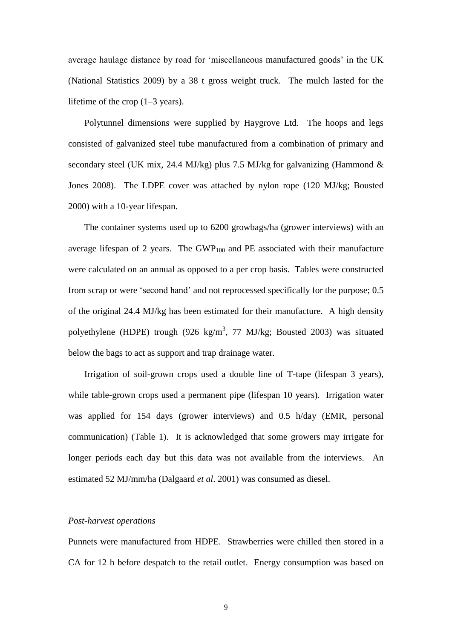average haulage distance by road for 'miscellaneous manufactured goods' in the UK (National Statistics 2009) by a 38 t gross weight truck. The mulch lasted for the lifetime of the crop (1–3 years).

Polytunnel dimensions were supplied by Haygrove Ltd. The hoops and legs consisted of galvanized steel tube manufactured from a combination of primary and secondary steel (UK mix, 24.4 MJ/kg) plus 7.5 MJ/kg for galvanizing (Hammond  $\&$ Jones 2008). The LDPE cover was attached by nylon rope (120 MJ/kg; Bousted 2000) with a 10-year lifespan.

The container systems used up to 6200 growbags/ha (grower interviews) with an average lifespan of 2 years. The  $GWP_{100}$  and PE associated with their manufacture were calculated on an annual as opposed to a per crop basis. Tables were constructed from scrap or were 'second hand' and not reprocessed specifically for the purpose; 0.5 of the original 24.4 MJ/kg has been estimated for their manufacture. A high density polyethylene (HDPE) trough (926 kg/m<sup>3</sup>, 77 MJ/kg; Bousted 2003) was situated below the bags to act as support and trap drainage water.

Irrigation of soil-grown crops used a double line of T-tape (lifespan 3 years), while table-grown crops used a permanent pipe (lifespan 10 years). Irrigation water was applied for 154 days (grower interviews) and 0.5 h/day (EMR, personal communication) (Table 1). It is acknowledged that some growers may irrigate for longer periods each day but this data was not available from the interviews. An estimated 52 MJ/mm/ha (Dalgaard *et al*. 2001) was consumed as diesel.

#### *Post-harvest operations*

Punnets were manufactured from HDPE. Strawberries were chilled then stored in a CA for 12 h before despatch to the retail outlet. Energy consumption was based on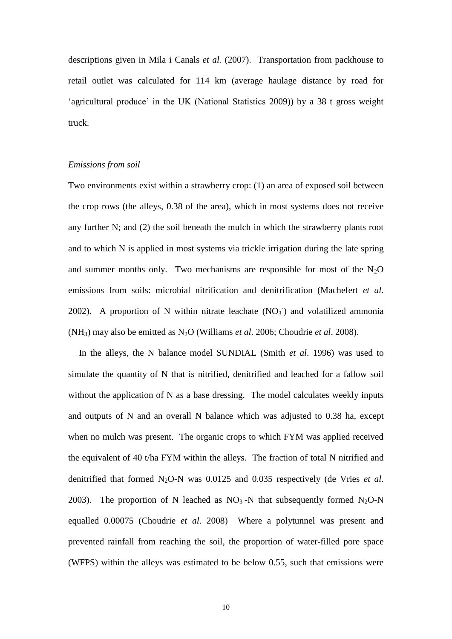descriptions given in Mila i Canals *et al.* (2007). Transportation from packhouse to retail outlet was calculated for 114 km (average haulage distance by road for 'agricultural produce' in the UK (National Statistics 2009)) by a 38 t gross weight truck.

#### *Emissions from soil*

Two environments exist within a strawberry crop: (1) an area of exposed soil between the crop rows (the alleys, 0.38 of the area), which in most systems does not receive any further N; and (2) the soil beneath the mulch in which the strawberry plants root and to which N is applied in most systems via trickle irrigation during the late spring and summer months only. Two mechanisms are responsible for most of the  $N_2O$ emissions from soils: microbial nitrification and denitrification (Machefert *et al*. 2002). A proportion of N within nitrate leachate  $(NO<sub>3</sub>)$  and volatilized ammonia (NH3) may also be emitted as N2O (Williams *et al*. 2006; Choudrie *et al*. 2008).

In the alleys, the N balance model SUNDIAL (Smith *et al*. 1996) was used to simulate the quantity of N that is nitrified, denitrified and leached for a fallow soil without the application of N as a base dressing. The model calculates weekly inputs and outputs of N and an overall N balance which was adjusted to 0.38 ha, except when no mulch was present. The organic crops to which FYM was applied received the equivalent of 40 t/ha FYM within the alleys. The fraction of total N nitrified and denitrified that formed N<sub>2</sub>O-N was 0.0125 and 0.035 respectively (de Vries *et al.*) 2003). The proportion of N leached as  $NO<sub>3</sub>$ -N that subsequently formed N<sub>2</sub>O-N equalled 0.00075 (Choudrie *et al*. 2008) Where a polytunnel was present and prevented rainfall from reaching the soil, the proportion of water-filled pore space (WFPS) within the alleys was estimated to be below 0.55, such that emissions were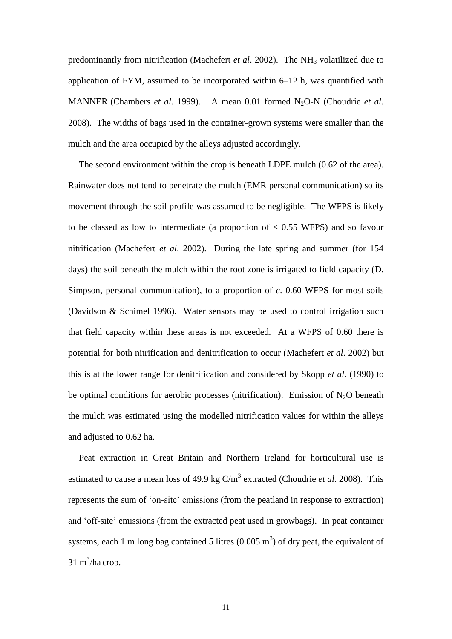predominantly from nitrification (Machefert *et al.* 2002). The NH<sub>3</sub> volatilized due to application of FYM, assumed to be incorporated within 6–12 h, was quantified with MANNER (Chambers *et al.* 1999). A mean 0.01 formed N<sub>2</sub>O-N (Choudrie *et al.* 2008). The widths of bags used in the container-grown systems were smaller than the mulch and the area occupied by the alleys adjusted accordingly.

The second environment within the crop is beneath LDPE mulch (0.62 of the area). Rainwater does not tend to penetrate the mulch (EMR personal communication) so its movement through the soil profile was assumed to be negligible. The WFPS is likely to be classed as low to intermediate (a proportion of  $< 0.55$  WFPS) and so favour nitrification (Machefert *et al*. 2002). During the late spring and summer (for 154 days) the soil beneath the mulch within the root zone is irrigated to field capacity (D. Simpson, personal communication), to a proportion of *c*. 0.60 WFPS for most soils (Davidson & Schimel 1996). Water sensors may be used to control irrigation such that field capacity within these areas is not exceeded. At a WFPS of 0.60 there is potential for both nitrification and denitrification to occur (Machefert *et al*. 2002) but this is at the lower range for denitrification and considered by Skopp *et al*. (1990) to be optimal conditions for aerobic processes (nitrification). Emission of  $N_2O$  beneath the mulch was estimated using the modelled nitrification values for within the alleys and adjusted to 0.62 ha.

Peat extraction in Great Britain and Northern Ireland for horticultural use is estimated to cause a mean loss of 49.9 kg C/m<sup>3</sup> extracted (Choudrie *et al.* 2008). This represents the sum of 'on-site' emissions (from the peatland in response to extraction) and 'off-site' emissions (from the extracted peat used in growbags). In peat container systems, each 1 m long bag contained 5 litres  $(0.005 \text{ m}^3)$  of dry peat, the equivalent of  $31 \text{ m}^3$ /ha crop.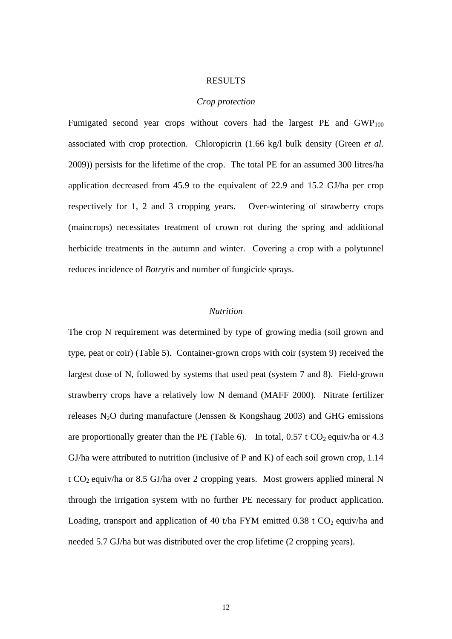#### RESULTS

#### *Crop protection*

Fumigated second year crops without covers had the largest PE and  $GWP_{100}$ associated with crop protection. Chloropicrin (1.66 kg/l bulk density (Green *et al*. 2009)) persists for the lifetime of the crop. The total PE for an assumed 300 litres/ha application decreased from 45.9 to the equivalent of 22.9 and 15.2 GJ/ha per crop respectively for 1, 2 and 3 cropping years. Over-wintering of strawberry crops (maincrops) necessitates treatment of crown rot during the spring and additional herbicide treatments in the autumn and winter. Covering a crop with a polytunnel reduces incidence of *Botrytis* and number of fungicide sprays.

# *Nutrition*

The crop N requirement was determined by type of growing media (soil grown and type, peat or coir) (Table 5). Container-grown crops with coir (system 9) received the largest dose of N, followed by systems that used peat (system 7 and 8). Field-grown strawberry crops have a relatively low N demand (MAFF 2000). Nitrate fertilizer releases N<sub>2</sub>O during manufacture (Jenssen & Kongshaug 2003) and GHG emissions are proportionally greater than the PE (Table 6). In total,  $0.57 \text{ t } CO_2$  equiv/ha or 4.3 GJ/ha were attributed to nutrition (inclusive of P and K) of each soil grown crop, 1.14 t CO<sub>2</sub> equiv/ha or 8.5 GJ/ha over 2 cropping years. Most growers applied mineral N through the irrigation system with no further PE necessary for product application. Loading, transport and application of 40 t/ha FYM emitted 0.38 t  $CO<sub>2</sub>$  equiv/ha and needed 5.7 GJ/ha but was distributed over the crop lifetime (2 cropping years).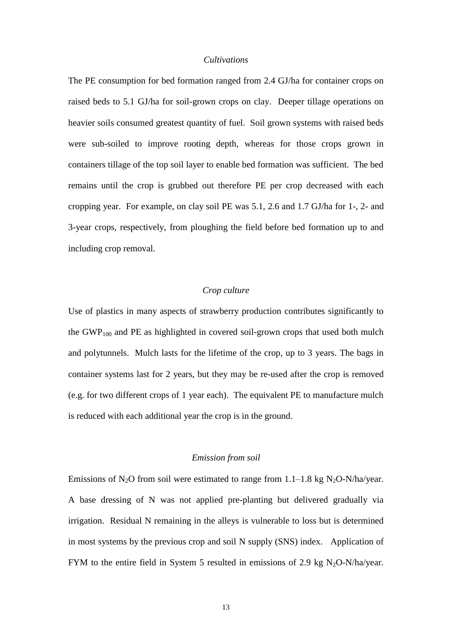#### *Cultivations*

The PE consumption for bed formation ranged from 2.4 GJ/ha for container crops on raised beds to 5.1 GJ/ha for soil-grown crops on clay. Deeper tillage operations on heavier soils consumed greatest quantity of fuel. Soil grown systems with raised beds were sub-soiled to improve rooting depth, whereas for those crops grown in containers tillage of the top soil layer to enable bed formation was sufficient. The bed remains until the crop is grubbed out therefore PE per crop decreased with each cropping year. For example, on clay soil PE was 5.1, 2.6 and 1.7 GJ/ha for 1-, 2- and 3-year crops, respectively, from ploughing the field before bed formation up to and including crop removal.

#### *Crop culture*

Use of plastics in many aspects of strawberry production contributes significantly to the GWP<sub>100</sub> and PE as highlighted in covered soil-grown crops that used both mulch and polytunnels. Mulch lasts for the lifetime of the crop, up to 3 years. The bags in container systems last for 2 years, but they may be re-used after the crop is removed (e.g. for two different crops of 1 year each). The equivalent PE to manufacture mulch is reduced with each additional year the crop is in the ground.

#### *Emission from soil*

Emissions of N<sub>2</sub>O from soil were estimated to range from  $1.1-1.8$  kg N<sub>2</sub>O-N/ha/year. A base dressing of N was not applied pre-planting but delivered gradually via irrigation. Residual N remaining in the alleys is vulnerable to loss but is determined in most systems by the previous crop and soil N supply (SNS) index. Application of FYM to the entire field in System 5 resulted in emissions of 2.9 kg  $N_2O-N/ha/year$ .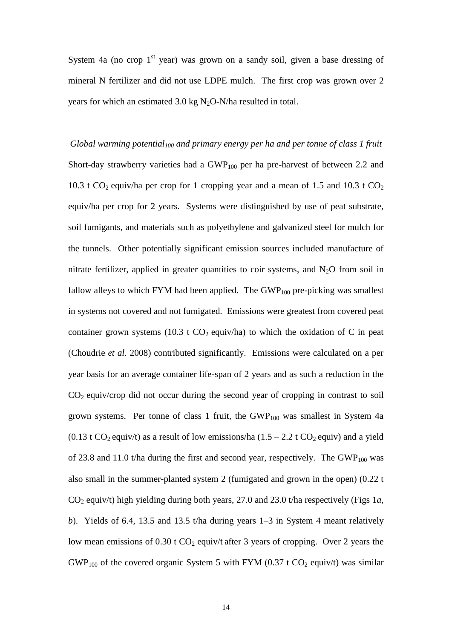System 4a (no crop  $1<sup>st</sup>$  year) was grown on a sandy soil, given a base dressing of mineral N fertilizer and did not use LDPE mulch. The first crop was grown over 2 years for which an estimated 3.0 kg  $N_2O-N/ha$  resulted in total.

*Global warming potential<sup>100</sup> and primary energy per ha and per tonne of class 1 fruit* Short-day strawberry varieties had a  $GWP<sub>100</sub>$  per ha pre-harvest of between 2.2 and 10.3 t  $CO_2$  equiv/ha per crop for 1 cropping year and a mean of 1.5 and 10.3 t  $CO_2$ equiv/ha per crop for 2 years. Systems were distinguished by use of peat substrate, soil fumigants, and materials such as polyethylene and galvanized steel for mulch for the tunnels. Other potentially significant emission sources included manufacture of nitrate fertilizer, applied in greater quantities to coir systems, and  $N_2O$  from soil in fallow alleys to which FYM had been applied. The  $GWP<sub>100</sub>$  pre-picking was smallest in systems not covered and not fumigated. Emissions were greatest from covered peat container grown systems (10.3 t  $CO<sub>2</sub>$  equiv/ha) to which the oxidation of C in peat (Choudrie *et al*. 2008) contributed significantly. Emissions were calculated on a per year basis for an average container life-span of 2 years and as such a reduction in the  $CO<sub>2</sub>$  equiv/crop did not occur during the second year of cropping in contrast to soil grown systems. Per tonne of class 1 fruit, the  $GWP<sub>100</sub>$  was smallest in System 4a (0.13 t CO<sub>2</sub> equiv/t) as a result of low emissions/ha (1.5 – 2.2 t CO<sub>2</sub> equiv) and a yield of 23.8 and 11.0 t/ha during the first and second year, respectively. The  $GWP<sub>100</sub>$  was also small in the summer-planted system 2 (fumigated and grown in the open) (0.22 t CO<sup>2</sup> equiv/t) high yielding during both years, 27.0 and 23.0 t/ha respectively (Figs 1*a*, *b*). Yields of 6.4, 13.5 and 13.5 t/ha during years 1–3 in System 4 meant relatively low mean emissions of  $0.30$  t  $CO<sub>2</sub>$  equiv/t after 3 years of cropping. Over 2 years the  $GWP<sub>100</sub>$  of the covered organic System 5 with FYM (0.37 t CO<sub>2</sub> equiv/t) was similar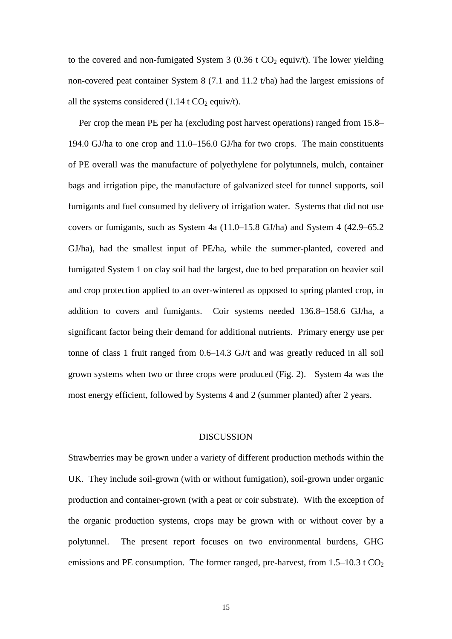to the covered and non-fumigated System 3 (0.36 t  $CO<sub>2</sub>$  equiv/t). The lower yielding non-covered peat container System 8 (7.1 and 11.2 t/ha) had the largest emissions of all the systems considered  $(1.14 \text{ t } CO<sub>2</sub>$  equiv/t).

Per crop the mean PE per ha (excluding post harvest operations) ranged from 15.8– 194.0 GJ/ha to one crop and 11.0–156.0 GJ/ha for two crops. The main constituents of PE overall was the manufacture of polyethylene for polytunnels, mulch, container bags and irrigation pipe, the manufacture of galvanized steel for tunnel supports, soil fumigants and fuel consumed by delivery of irrigation water. Systems that did not use covers or fumigants, such as System 4a (11.0–15.8 GJ/ha) and System 4 (42.9–65.2 GJ/ha), had the smallest input of PE/ha, while the summer-planted, covered and fumigated System 1 on clay soil had the largest, due to bed preparation on heavier soil and crop protection applied to an over-wintered as opposed to spring planted crop, in addition to covers and fumigants. Coir systems needed 136.8–158.6 GJ/ha, a significant factor being their demand for additional nutrients. Primary energy use per tonne of class 1 fruit ranged from 0.6–14.3 GJ/t and was greatly reduced in all soil grown systems when two or three crops were produced (Fig. 2). System 4a was the most energy efficient, followed by Systems 4 and 2 (summer planted) after 2 years.

#### **DISCUSSION**

Strawberries may be grown under a variety of different production methods within the UK. They include soil-grown (with or without fumigation), soil-grown under organic production and container-grown (with a peat or coir substrate). With the exception of the organic production systems, crops may be grown with or without cover by a polytunnel. The present report focuses on two environmental burdens, GHG emissions and PE consumption. The former ranged, pre-harvest, from  $1.5-10.3$  t  $CO<sub>2</sub>$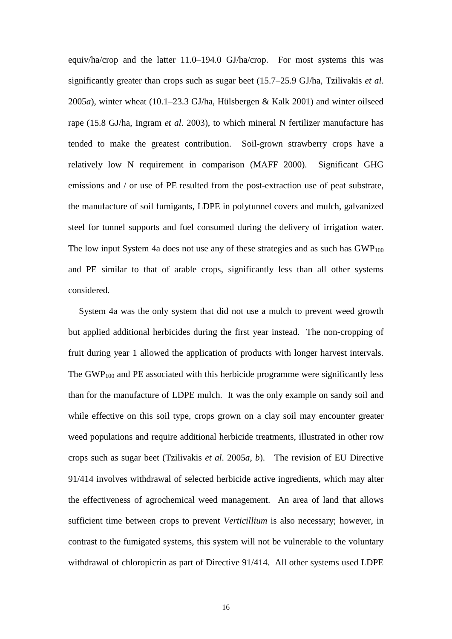equiv/ha/crop and the latter 11.0–194.0 GJ/ha/crop. For most systems this was significantly greater than crops such as sugar beet (15.7–25.9 GJ/ha, Tzilivakis *et al*. 2005*a*), winter wheat (10.1–23.3 GJ/ha, Hülsbergen & Kalk 2001) and winter oilseed rape (15.8 GJ/ha, Ingram *et al*. 2003), to which mineral N fertilizer manufacture has tended to make the greatest contribution. Soil-grown strawberry crops have a relatively low N requirement in comparison (MAFF 2000). Significant GHG emissions and / or use of PE resulted from the post-extraction use of peat substrate, the manufacture of soil fumigants, LDPE in polytunnel covers and mulch, galvanized steel for tunnel supports and fuel consumed during the delivery of irrigation water. The low input System 4a does not use any of these strategies and as such has  $GWP<sub>100</sub>$ and PE similar to that of arable crops, significantly less than all other systems considered.

System 4a was the only system that did not use a mulch to prevent weed growth but applied additional herbicides during the first year instead. The non-cropping of fruit during year 1 allowed the application of products with longer harvest intervals. The  $GWP<sub>100</sub>$  and PE associated with this herbicide programme were significantly less than for the manufacture of LDPE mulch. It was the only example on sandy soil and while effective on this soil type, crops grown on a clay soil may encounter greater weed populations and require additional herbicide treatments, illustrated in other row crops such as sugar beet (Tzilivakis *et al*. 2005*a*, *b*). The revision of EU Directive 91/414 involves withdrawal of selected herbicide active ingredients, which may alter the effectiveness of agrochemical weed management. An area of land that allows sufficient time between crops to prevent *Verticillium* is also necessary; however, in contrast to the fumigated systems, this system will not be vulnerable to the voluntary withdrawal of chloropicrin as part of Directive 91/414. All other systems used LDPE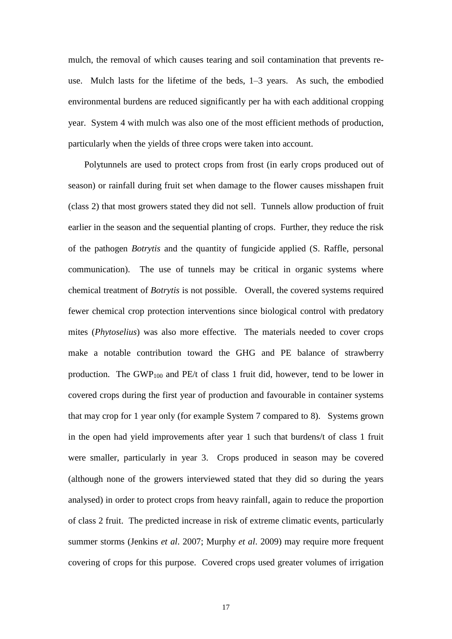mulch, the removal of which causes tearing and soil contamination that prevents reuse. Mulch lasts for the lifetime of the beds, 1–3 years. As such, the embodied environmental burdens are reduced significantly per ha with each additional cropping year. System 4 with mulch was also one of the most efficient methods of production, particularly when the yields of three crops were taken into account.

Polytunnels are used to protect crops from frost (in early crops produced out of season) or rainfall during fruit set when damage to the flower causes misshapen fruit (class 2) that most growers stated they did not sell. Tunnels allow production of fruit earlier in the season and the sequential planting of crops. Further, they reduce the risk of the pathogen *Botrytis* and the quantity of fungicide applied (S. Raffle, personal communication). The use of tunnels may be critical in organic systems where chemical treatment of *Botrytis* is not possible. Overall, the covered systems required fewer chemical crop protection interventions since biological control with predatory mites (*Phytoselius*) was also more effective. The materials needed to cover crops make a notable contribution toward the GHG and PE balance of strawberry production. The GWP<sub>100</sub> and PE/t of class 1 fruit did, however, tend to be lower in covered crops during the first year of production and favourable in container systems that may crop for 1 year only (for example System 7 compared to 8). Systems grown in the open had yield improvements after year 1 such that burdens/t of class 1 fruit were smaller, particularly in year 3. Crops produced in season may be covered (although none of the growers interviewed stated that they did so during the years analysed) in order to protect crops from heavy rainfall, again to reduce the proportion of class 2 fruit. The predicted increase in risk of extreme climatic events, particularly summer storms (Jenkins *et al*. 2007; Murphy *et al*. 2009) may require more frequent covering of crops for this purpose. Covered crops used greater volumes of irrigation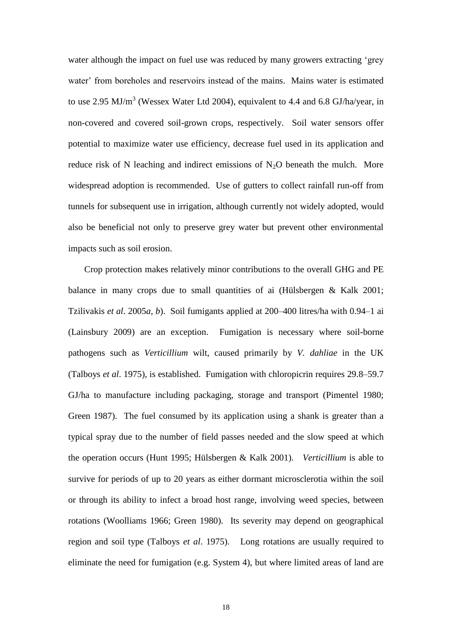water although the impact on fuel use was reduced by many growers extracting 'grey water' from boreholes and reservoirs instead of the mains. Mains water is estimated to use 2.95 MJ/m<sup>3</sup> (Wessex Water Ltd 2004), equivalent to 4.4 and 6.8 GJ/ha/year, in non-covered and covered soil-grown crops, respectively. Soil water sensors offer potential to maximize water use efficiency, decrease fuel used in its application and reduce risk of N leaching and indirect emissions of  $N_2O$  beneath the mulch. More widespread adoption is recommended. Use of gutters to collect rainfall run-off from tunnels for subsequent use in irrigation, although currently not widely adopted, would also be beneficial not only to preserve grey water but prevent other environmental impacts such as soil erosion.

Crop protection makes relatively minor contributions to the overall GHG and PE balance in many crops due to small quantities of ai (Hülsbergen & Kalk 2001; Tzilivakis *et al*. 2005*a*, *b*). Soil fumigants applied at 200–400 litres/ha with 0.94–1 ai (Lainsbury 2009) are an exception. Fumigation is necessary where soil-borne pathogens such as *Verticillium* wilt, caused primarily by *V. dahliae* in the UK (Talboys *et al*. 1975), is established. Fumigation with chloropicrin requires 29.8–59.7 GJ/ha to manufacture including packaging, storage and transport (Pimentel 1980; Green 1987). The fuel consumed by its application using a shank is greater than a typical spray due to the number of field passes needed and the slow speed at which the operation occurs (Hunt 1995; Hülsbergen & Kalk 2001). *Verticillium* is able to survive for periods of up to 20 years as either dormant microsclerotia within the soil or through its ability to infect a broad host range, involving weed species, between rotations (Woolliams 1966; Green 1980). Its severity may depend on geographical region and soil type (Talboys *et al*. 1975). Long rotations are usually required to eliminate the need for fumigation (e.g. System 4), but where limited areas of land are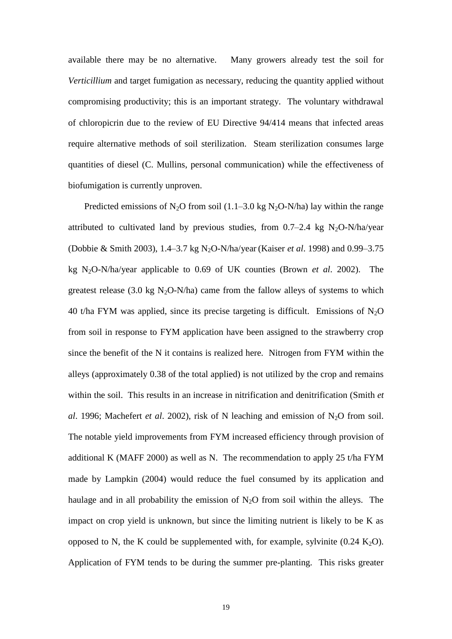available there may be no alternative. Many growers already test the soil for *Verticillium* and target fumigation as necessary, reducing the quantity applied without compromising productivity; this is an important strategy. The voluntary withdrawal of chloropicrin due to the review of EU Directive 94/414 means that infected areas require alternative methods of soil sterilization. Steam sterilization consumes large quantities of diesel (C. Mullins, personal communication) while the effectiveness of biofumigation is currently unproven.

Predicted emissions of N<sub>2</sub>O from soil (1.1–3.0 kg N<sub>2</sub>O-N/ha) lay within the range attributed to cultivated land by previous studies, from  $0.7-2.4$  kg N<sub>2</sub>O-N/ha/year (Dobbie & Smith 2003), 1.4–3.7 kg N<sub>2</sub>O-N/ha/year (Kaiser *et al.* 1998) and 0.99–3.75 kg N2O-N/ha/year applicable to 0.69 of UK counties (Brown *et al*. 2002). The greatest release (3.0 kg  $N_2O-N/ha$ ) came from the fallow alleys of systems to which 40 t/ha FYM was applied, since its precise targeting is difficult. Emissions of  $N_2O$ from soil in response to FYM application have been assigned to the strawberry crop since the benefit of the N it contains is realized here. Nitrogen from FYM within the alleys (approximately 0.38 of the total applied) is not utilized by the crop and remains within the soil. This results in an increase in nitrification and denitrification (Smith *et al.* 1996; Machefert *et al.* 2002), risk of N leaching and emission of N<sub>2</sub>O from soil. The notable yield improvements from FYM increased efficiency through provision of additional K (MAFF 2000) as well as N. The recommendation to apply 25 t/ha FYM made by Lampkin (2004) would reduce the fuel consumed by its application and haulage and in all probability the emission of  $N_2O$  from soil within the alleys. The impact on crop yield is unknown, but since the limiting nutrient is likely to be K as opposed to N, the K could be supplemented with, for example, sylvinite  $(0.24 \text{ K}_2\text{O})$ . Application of FYM tends to be during the summer pre-planting. This risks greater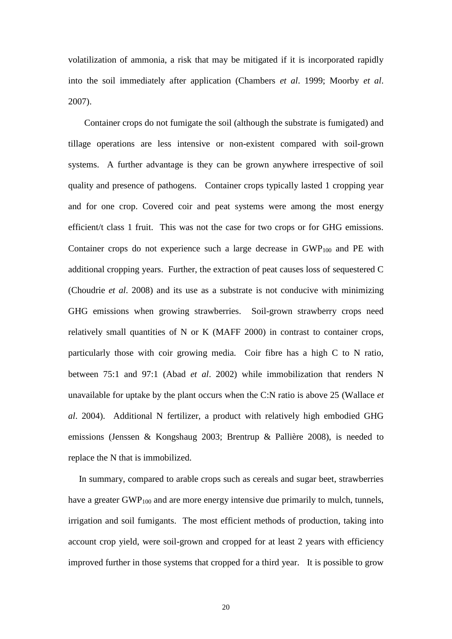volatilization of ammonia, a risk that may be mitigated if it is incorporated rapidly into the soil immediately after application (Chambers *et al*. 1999; Moorby *et al*. 2007).

Container crops do not fumigate the soil (although the substrate is fumigated) and tillage operations are less intensive or non-existent compared with soil-grown systems. A further advantage is they can be grown anywhere irrespective of soil quality and presence of pathogens. Container crops typically lasted 1 cropping year and for one crop. Covered coir and peat systems were among the most energy efficient/t class 1 fruit. This was not the case for two crops or for GHG emissions. Container crops do not experience such a large decrease in  $GWP_{100}$  and PE with additional cropping years. Further, the extraction of peat causes loss of sequestered C (Choudrie *et al*. 2008) and its use as a substrate is not conducive with minimizing GHG emissions when growing strawberries. Soil-grown strawberry crops need relatively small quantities of N or K (MAFF 2000) in contrast to container crops, particularly those with coir growing media. Coir fibre has a high C to N ratio, between 75:1 and 97:1 (Abad *et al*. 2002) while immobilization that renders N unavailable for uptake by the plant occurs when the C:N ratio is above 25 (Wallace *et al*. 2004). Additional N fertilizer, a product with relatively high embodied GHG emissions (Jenssen & Kongshaug 2003; Brentrup & Pallière 2008), is needed to replace the N that is immobilized.

In summary, compared to arable crops such as cereals and sugar beet, strawberries have a greater GWP<sub>100</sub> and are more energy intensive due primarily to mulch, tunnels, irrigation and soil fumigants. The most efficient methods of production, taking into account crop yield, were soil-grown and cropped for at least 2 years with efficiency improved further in those systems that cropped for a third year. It is possible to grow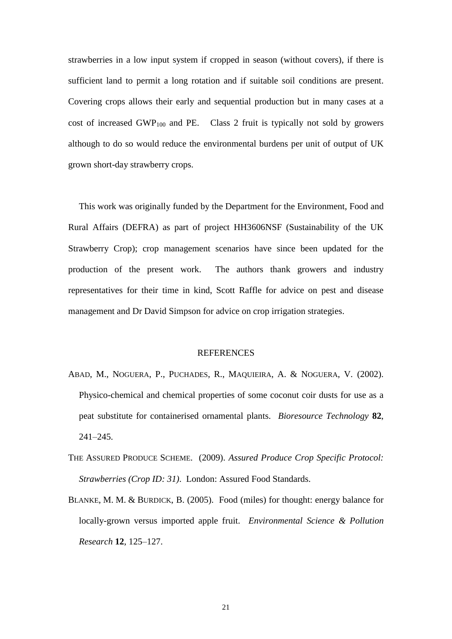strawberries in a low input system if cropped in season (without covers), if there is sufficient land to permit a long rotation and if suitable soil conditions are present. Covering crops allows their early and sequential production but in many cases at a cost of increased GWP<sub>100</sub> and PE. Class 2 fruit is typically not sold by growers although to do so would reduce the environmental burdens per unit of output of UK grown short-day strawberry crops.

This work was originally funded by the Department for the Environment, Food and Rural Affairs (DEFRA) as part of project HH3606NSF (Sustainability of the UK Strawberry Crop); crop management scenarios have since been updated for the production of the present work. The authors thank growers and industry representatives for their time in kind, Scott Raffle for advice on pest and disease management and Dr David Simpson for advice on crop irrigation strategies.

#### **REFERENCES**

- ABAD, M., NOGUERA, P., PUCHADES, R., MAQUIEIRA, A. & NOGUERA, V. (2002). Physico-chemical and chemical properties of some coconut coir dusts for use as a peat substitute for containerised ornamental plants. *Bioresource Technology* **82**, 241–245.
- THE ASSURED PRODUCE SCHEME. (2009). *Assured Produce Crop Specific Protocol: Strawberries (Crop ID: 31)*. London: Assured Food Standards.
- BLANKE, M. M. & BURDICK, B. (2005). Food (miles) for thought: energy balance for locally-grown versus imported apple fruit. *Environmental Science & Pollution Research* **12**, 125–127.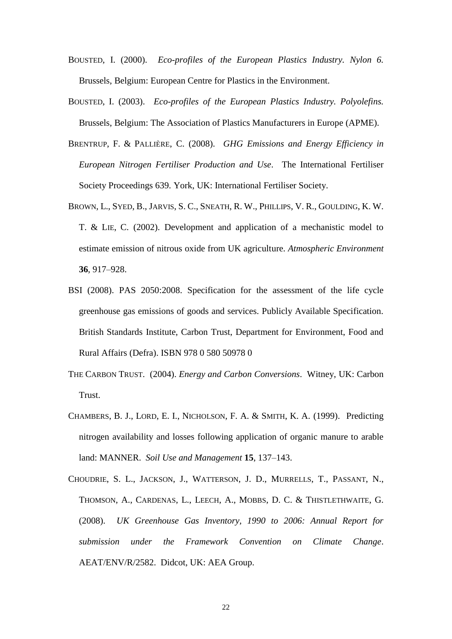- BOUSTED, I. (2000). *Eco-profiles of the European Plastics Industry. Nylon 6.* Brussels, Belgium: European Centre for Plastics in the Environment.
- BOUSTED, I. (2003). *Eco-profiles of the European Plastics Industry. Polyolefins.* Brussels, Belgium: The Association of Plastics Manufacturers in Europe (APME).
- BRENTRUP, F. & PALLIÈRE, C. (2008). *GHG Emissions and Energy Efficiency in European Nitrogen Fertiliser Production and Use*. The International Fertiliser Society Proceedings 639. York, UK: International Fertiliser Society.
- BROWN, L., SYED, B., JARVIS, S. C., SNEATH, R. W., PHILLIPS, V. R., GOULDING, K. W. T. & LIE, C. (2002). Development and application of a mechanistic model to estimate emission of nitrous oxide from UK agriculture. *Atmospheric Environment* **36**, 917–928.
- BSI (2008). PAS 2050:2008. Specification for the assessment of the life cycle greenhouse gas emissions of goods and services. Publicly Available Specification. British Standards Institute, Carbon Trust, Department for Environment, Food and Rural Affairs (Defra). ISBN 978 0 580 50978 0
- THE CARBON TRUST. (2004). *Energy and Carbon Conversions*. Witney, UK: Carbon Trust.
- CHAMBERS, B. J., LORD, E. I., NICHOLSON, F. A. & SMITH, K. A. (1999). Predicting nitrogen availability and losses following application of organic manure to arable land: MANNER. *Soil Use and Management* **15**, 137–143.
- CHOUDRIE, S. L., JACKSON, J., WATTERSON, J. D., MURRELLS, T., PASSANT, N., THOMSON, A., CARDENAS, L., LEECH, A., MOBBS, D. C. & THISTLETHWAITE, G. (2008). *UK Greenhouse Gas Inventory, 1990 to 2006: Annual Report for submission under the Framework Convention on Climate Change*. AEAT/ENV/R/2582. Didcot, UK: AEA Group.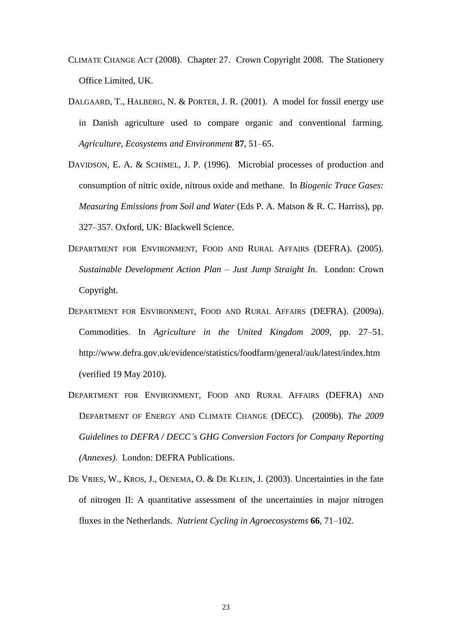- CLIMATE CHANGE ACT (2008). Chapter 27. Crown Copyright 2008. The Stationery Office Limited, UK.
- DALGAARD, T., HALBERG, N. & PORTER, J. R. (2001). A model for fossil energy use in Danish agriculture used to compare organic and conventional farming. *Agriculture, Ecosystems and Environment* **87**, 51–65.
- DAVIDSON, E. A. & SCHIMEL, J. P. (1996). Microbial processes of production and consumption of nitric oxide, nitrous oxide and methane. In *Biogenic Trace Gases: Measuring Emissions from Soil and Water* (Eds P. A. Matson & R. C. Harriss), pp. 327–357. Oxford, UK: Blackwell Science.
- DEPARTMENT FOR ENVIRONMENT, FOOD AND RURAL AFFAIRS (DEFRA). (2005). *Sustainable Development Action Plan – Just Jump Straight In*. London: Crown Copyright.
- DEPARTMENT FOR ENVIRONMENT, FOOD AND RURAL AFFAIRS (DEFRA). (2009a). Commodities. In *Agriculture in the United Kingdom 2009*, pp. 27–51. http://www.defra.gov.uk/evidence/statistics/foodfarm/general/auk/latest/index.htm (verified 19 May 2010).
- DEPARTMENT FOR ENVIRONMENT, FOOD AND RURAL AFFAIRS (DEFRA) AND DEPARTMENT OF ENERGY AND CLIMATE CHANGE (DECC). (2009b). *The 2009 Guidelines to DEFRA / DECC's GHG Conversion Factors for Company Reporting (Annexes)*. London: DEFRA Publications.
- DE VRIES, W., KROS, J., OENEMA, O. & DE KLEIN, J. (2003). Uncertainties in the fate of nitrogen II: A quantitative assessment of the uncertainties in major nitrogen fluxes in the Netherlands. *Nutrient Cycling in Agroecosystems* **66**, 71–102.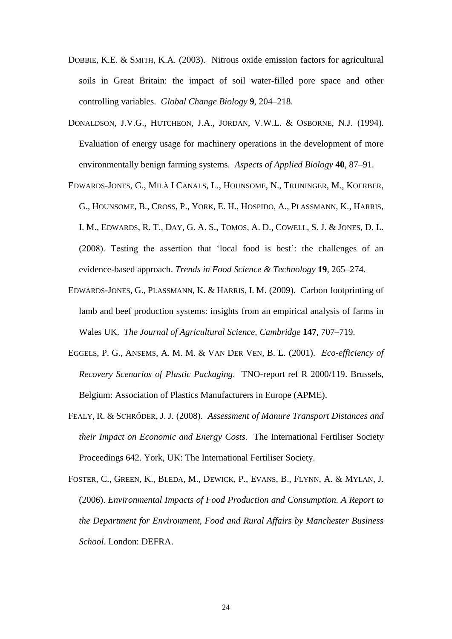- DOBBIE, K.E. & SMITH, K.A. (2003). Nitrous oxide emission factors for agricultural soils in Great Britain: the impact of soil water-filled pore space and other controlling variables. *Global Change Biology* **9**, 204–218.
- DONALDSON, J.V.G., HUTCHEON, J.A., JORDAN, V.W.L. & OSBORNE, N.J. (1994). Evaluation of energy usage for machinery operations in the development of more environmentally benign farming systems. *Aspects of Applied Biology* **40**, 87–91.
- EDWARDS-JONES, G., MILÀ I CANALS, L., HOUNSOME, N., TRUNINGER, M., KOERBER, G., HOUNSOME, B., CROSS, P., YORK, E. H., HOSPIDO, A., PLASSMANN, K., HARRIS, I. M., EDWARDS, R. T., DAY, G. A. S., TOMOS, A. D., COWELL, S. J. & JONES, D. L. (2008). Testing the assertion that 'local food is best': the challenges of an evidence-based approach. *Trends in Food Science & Technology* **19**, 265–274.
- EDWARDS-JONES, G., PLASSMANN, K. & HARRIS, I. M. (2009). Carbon footprinting of lamb and beef production systems: insights from an empirical analysis of farms in Wales UK. *The Journal of Agricultural Science, Cambridge* **147**, 707–719.
- EGGELS, P. G., ANSEMS, A. M. M. & VAN DER VEN, B. L. (2001). *Eco-efficiency of Recovery Scenarios of Plastic Packaging*. TNO-report ref R 2000/119. Brussels, Belgium: Association of Plastics Manufacturers in Europe (APME).
- FEALY, R. & SCHRŐDER, J. J. (2008). *Assessment of Manure Transport Distances and their Impact on Economic and Energy Costs*. The International Fertiliser Society Proceedings 642. York, UK: The International Fertiliser Society.
- FOSTER, C., GREEN, K., BLEDA, M., DEWICK, P., EVANS, B., FLYNN, A. & MYLAN, J. (2006). *Environmental Impacts of Food Production and Consumption. A Report to the Department for Environment, Food and Rural Affairs by Manchester Business School*. London: DEFRA.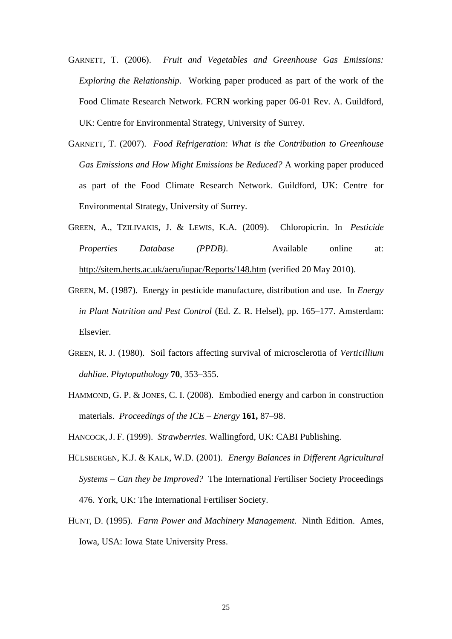- GARNETT, T. (2006). *Fruit and Vegetables and Greenhouse Gas Emissions: Exploring the Relationship*. Working paper produced as part of the work of the Food Climate Research Network. FCRN working paper 06-01 Rev. A. Guildford, UK: Centre for Environmental Strategy, University of Surrey.
- GARNETT, T. (2007). *Food Refrigeration: What is the Contribution to Greenhouse Gas Emissions and How Might Emissions be Reduced?* A working paper produced as part of the Food Climate Research Network. Guildford, UK: Centre for Environmental Strategy, University of Surrey.
- GREEN, A., TZILIVAKIS, J. & LEWIS, K.A. (2009). Chloropicrin. In *Pesticide Properties Database (PPDB)*. Available online at: <http://sitem.herts.ac.uk/aeru/iupac/Reports/148.htm> (verified 20 May 2010).
- GREEN, M. (1987). Energy in pesticide manufacture, distribution and use. In *Energy in Plant Nutrition and Pest Control* (Ed. Z. R. Helsel), pp. 165–177. Amsterdam: Elsevier.
- GREEN, R. J. (1980). Soil factors affecting survival of microsclerotia of *Verticillium dahliae*. *Phytopathology* **70**, 353–355.
- HAMMOND, G. P. & JONES, C. I. (2008). Embodied energy and carbon in construction materials. *Proceedings of the ICE – Energy* **161,** 87–98.
- HANCOCK, J. F. (1999). *Strawberries*. Wallingford, UK: CABI Publishing.
- HÜLSBERGEN, K.J. & KALK, W.D. (2001). *Energy Balances in Different Agricultural Systems – Can they be Improved?* The International Fertiliser Society Proceedings 476. York, UK: The International Fertiliser Society.
- HUNT, D. (1995). *Farm Power and Machinery Management*. Ninth Edition. Ames, Iowa, USA: Iowa State University Press.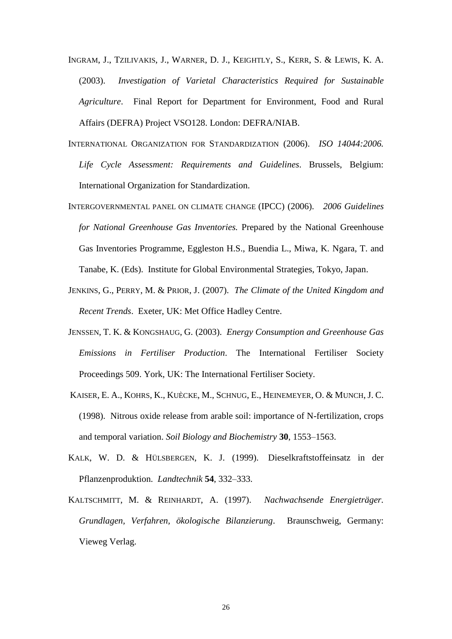- INGRAM, J., TZILIVAKIS, J., WARNER, D. J., KEIGHTLY, S., KERR, S. & LEWIS, K. A. (2003). *Investigation of Varietal Characteristics Required for Sustainable Agriculture*. Final Report for Department for Environment, Food and Rural Affairs (DEFRA) Project VSO128. London: DEFRA/NIAB.
- INTERNATIONAL ORGANIZATION FOR STANDARDIZATION (2006). *ISO 14044:2006. Life Cycle Assessment: Requirements and Guidelines*. Brussels, Belgium: International Organization for Standardization.
- INTERGOVERNMENTAL PANEL ON CLIMATE CHANGE (IPCC) (2006). *2006 Guidelines for National Greenhouse Gas Inventories.* Prepared by the National Greenhouse Gas Inventories Programme, Eggleston H.S., Buendia L., Miwa, K. Ngara, T. and Tanabe, K. (Eds). Institute for Global Environmental Strategies, Tokyo, Japan.
- JENKINS, G., PERRY, M. & PRIOR, J. (2007). *The Climate of the United Kingdom and Recent Trends*. Exeter, UK: Met Office Hadley Centre.
- JENSSEN, T. K. & KONGSHAUG, G. (2003). *Energy Consumption and Greenhouse Gas Emissions in Fertiliser Production*. The International Fertiliser Society Proceedings 509. York, UK: The International Fertiliser Society.
- KAISER, E. A., KOHRS, K., KUÈCKE, M., SCHNUG, E., HEINEMEYER, O. & MUNCH, J. C. (1998). Nitrous oxide release from arable soil: importance of N-fertilization, crops and temporal variation. *Soil Biology and Biochemistry* **30**, 1553–1563.
- KALK, W. D. & HÜLSBERGEN, K. J. (1999). Dieselkraftstoffeinsatz in der Pflanzenproduktion. *Landtechnik* **54**, 332–333.
- KALTSCHMITT, M. & REINHARDT, A. (1997). *Nachwachsende Energieträger. Grundlagen, Verfahren, ökologische Bilanzierung*. Braunschweig, Germany: Vieweg Verlag.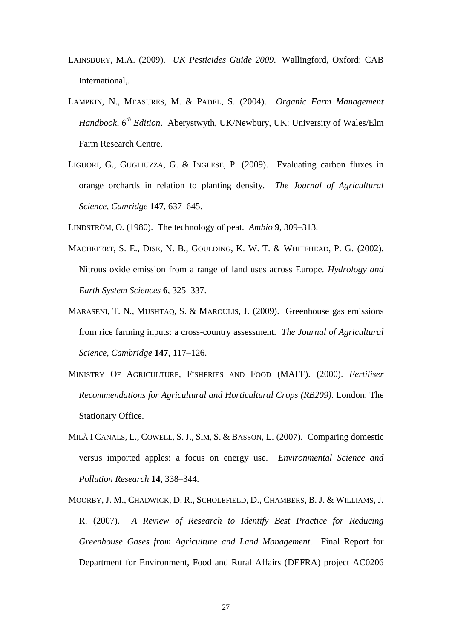- LAINSBURY, M.A. (2009). *UK Pesticides Guide 2009*. Wallingford, Oxford: CAB International,.
- LAMPKIN, N., MEASURES, M. & PADEL, S. (2004). *Organic Farm Management Handbook, 6 th Edition*. Aberystwyth, UK/Newbury, UK: University of Wales/Elm Farm Research Centre.
- LIGUORI, G., GUGLIUZZA, G. & INGLESE, P. (2009). Evaluating carbon fluxes in orange orchards in relation to planting density. *The Journal of Agricultural Science, Camridge* **147**, 637–645.
- LINDSTRÖM, O. (1980). The technology of peat. *Ambio* **9**, 309–313.
- MACHEFERT, S. E., DISE, N. B., GOULDING, K. W. T. & WHITEHEAD, P. G. (2002). Nitrous oxide emission from a range of land uses across Europe. *Hydrology and Earth System Sciences* **6**, 325–337.
- MARASENI, T. N., MUSHTAQ, S. & MAROULIS, J. (2009). Greenhouse gas emissions from rice farming inputs: a cross-country assessment. *The Journal of Agricultural Science, Cambridge* **147**, 117–126.
- MINISTRY OF AGRICULTURE, FISHERIES AND FOOD (MAFF). (2000). *Fertiliser Recommendations for Agricultural and Horticultural Crops (RB209)*. London: The Stationary Office.
- MILÀ I CANALS, L., COWELL, S. J., SIM, S. & BASSON, L. (2007). Comparing domestic versus imported apples: a focus on energy use. *Environmental Science and Pollution Research* **14**, 338–344.
- MOORBY, J. M., CHADWICK, D. R., SCHOLEFIELD, D., CHAMBERS, B. J. & WILLIAMS, J. R. (2007). *A Review of Research to Identify Best Practice for Reducing Greenhouse Gases from Agriculture and Land Management*. Final Report for Department for Environment, Food and Rural Affairs (DEFRA) project AC0206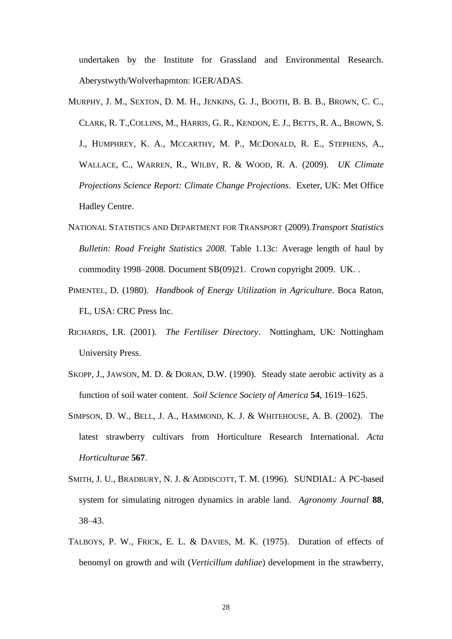undertaken by the Institute for Grassland and Environmental Research. Aberystwyth/Wolverhapmton: IGER/ADAS.

- MURPHY, J. M., SEXTON, D. M. H., JENKINS, G. J., BOOTH, B. B. B., BROWN, C. C., CLARK, R. T.,COLLINS, M., HARRIS, G. R., KENDON, E. J., BETTS, R. A., BROWN, S. J., HUMPHREY, K. A., MCCARTHY, M. P., MCDONALD, R. E., STEPHENS, A., WALLACE, C., WARREN, R., WILBY, R. & WOOD, R. A. (2009). *UK Climate Projections Science Report: Climate Change Projections*. Exeter, UK: Met Office Hadley Centre.
- NATIONAL STATISTICS AND DEPARTMENT FOR TRANSPORT (2009).*Transport Statistics Bulletin: Road Freight Statistics 2008.* Table 1.13c: Average length of haul by commodity 1998–2008. Document SB(09)21. Crown copyright 2009. UK. .
- PIMENTEL, D. (1980). *Handbook of Energy Utilization in Agriculture*. Boca Raton, FL, USA: CRC Press Inc.
- RICHARDS, I.R. (2001). *The Fertiliser Directory*. Nottingham, UK: Nottingham University Press.
- SKOPP, J., JAWSON, M. D. & DORAN, D.W. (1990). Steady state aerobic activity as a function of soil water content. *Soil Science Society of America* **54**, 1619–1625.
- SIMPSON, D. W., BELL, J. A., HAMMOND, K. J. & WHITEHOUSE, A. B. (2002). The latest strawberry cultivars from Horticulture Research International. *Acta Horticulturae* **567**.
- SMITH, J. U., BRADBURY, N. J. & ADDISCOTT, T. M. (1996). SUNDIAL: A PC-based system for simulating nitrogen dynamics in arable land. *Agronomy Journal* **88**, 38–43.
- TALBOYS, P. W., FRICK, E. L. & DAVIES, M. K. (1975). Duration of effects of benomyl on growth and wilt (*Verticillum dahliae*) development in the strawberry,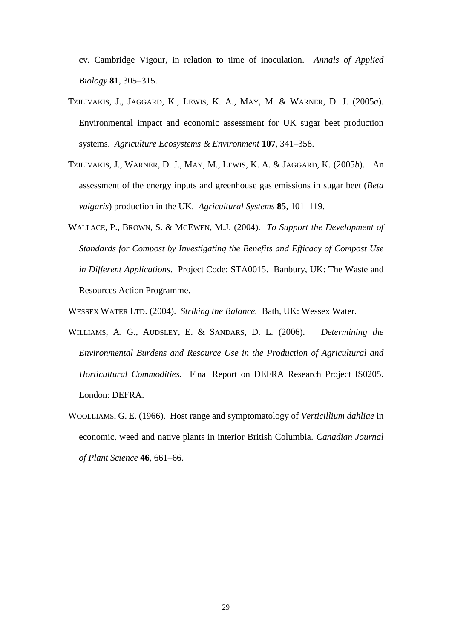cv. Cambridge Vigour, in relation to time of inoculation. *Annals of Applied Biology* **81**, 305–315.

- TZILIVAKIS, J., JAGGARD, K., LEWIS, K. A., MAY, M. & WARNER, D. J. (2005*a*). Environmental impact and economic assessment for UK sugar beet production systems. *Agriculture Ecosystems & Environment* **107**, 341–358.
- TZILIVAKIS, J., WARNER, D. J., MAY, M., LEWIS, K. A. & JAGGARD, K. (2005*b*). An assessment of the energy inputs and greenhouse gas emissions in sugar beet (*Beta vulgaris*) production in the UK. *Agricultural Systems* **85**, 101–119.
- WALLACE, P., BROWN, S. & MCEWEN, M.J. (2004). *To Support the Development of Standards for Compost by Investigating the Benefits and Efficacy of Compost Use in Different Applications*. Project Code: STA0015. Banbury, UK: The Waste and Resources Action Programme.
- WESSEX WATER LTD. (2004). *Striking the Balance.* Bath, UK: Wessex Water.
- WILLIAMS, A. G., AUDSLEY, E. & SANDARS, D. L. (2006). *Determining the Environmental Burdens and Resource Use in the Production of Agricultural and Horticultural Commodities.* Final Report on DEFRA Research Project IS0205. London: DEFRA.
- WOOLLIAMS, G. E. (1966). Host range and symptomatology of *Verticillium dahliae* in economic, weed and native plants in interior British Columbia. *Canadian Journal of Plant Science* **46**, 661–66.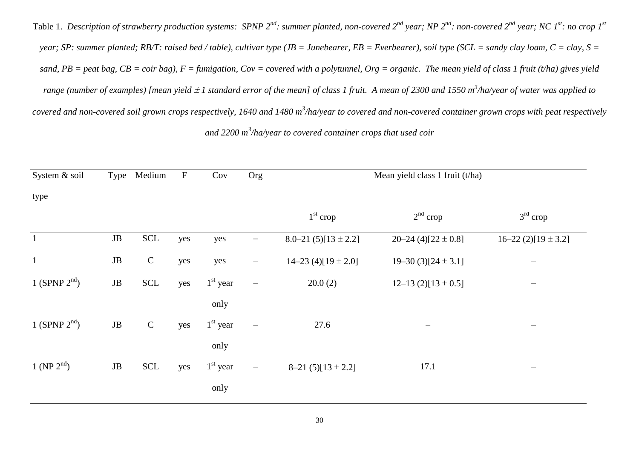Table 1. Description of strawberry production systems: SPNP 2<sup>nd</sup>: summer planted, non-covered 2<sup>nd</sup> year; NP 2<sup>nd</sup>: non-covered 2<sup>nd</sup> year; NC 1<sup>st</sup>: no crop 1<sup>st</sup> *year; SP: summer planted; RB/T: raised bed / table), cultivar type (JB = Junebearer, EB = Everbearer), soil type (SCL = sandy clay loam, C = clay, S = sand, PB = peat bag, CB = coir bag), F = fumigation, Cov = covered with a polytunnel, Org = organic. The mean yield of class 1 fruit (t/ha) gives yield*  range (number of examples) [mean yield ± 1 standard error of the mean] of class 1 fruit. A mean of 2300 and 1550 m<sup>3</sup>/ha/year of water was applied to *covered and non-covered soil grown crops respectively, 1640 and 1480 m<sup>3</sup> /ha/year to covered and non-covered container grown crops with peat respectively and 2200 m<sup>3</sup> /ha/year to covered container crops that used coir*

|           | Medium                      | $\boldsymbol{\mathrm{F}}$ | Cov        | Org                      | Mean yield class 1 fruit (t/ha) |                         |                                |  |  |
|-----------|-----------------------------|---------------------------|------------|--------------------------|---------------------------------|-------------------------|--------------------------------|--|--|
|           |                             |                           |            |                          |                                 |                         |                                |  |  |
|           |                             |                           |            |                          | $1st$ crop                      | $2nd$ crop              | $3rd$ crop                     |  |  |
| $\rm{JB}$ | $\ensuremath{\mathsf{SCL}}$ | yes                       | yes        | $\overline{\phantom{0}}$ | 8.0–21 $(5)[13 \pm 2.2]$        | 20-24 (4)[22 $\pm$ 0.8] | $16-22$ (2)[19 ± 3.2]          |  |  |
| $\rm{JB}$ | ${\bf C}$                   | yes                       | yes        | $\qquad \qquad -$        | $14-23$ (4)[ $19 \pm 2.0$ ]     | $19-30(3)[24 \pm 3.1]$  | —                              |  |  |
| $\rm{JB}$ | <b>SCL</b>                  | yes                       | $1st$ year | $\qquad \qquad -$        | 20.0(2)                         | $12-13$ (2)[13 ± 0.5]   | $\qquad \qquad \longleftarrow$ |  |  |
|           |                             |                           | only       |                          |                                 |                         |                                |  |  |
| $\rm{JB}$ | ${\bf C}$                   | yes                       | $1st$ year | $\qquad \qquad -$        | 27.6                            |                         |                                |  |  |
|           |                             |                           | only       |                          |                                 |                         |                                |  |  |
| $\rm{JB}$ | $\ensuremath{\mathsf{SCL}}$ | yes                       | $1st$ year | $\overline{\phantom{m}}$ | $8-21(5)[13 \pm 2.2]$           | 17.1                    | $\qquad \qquad \longleftarrow$ |  |  |
|           |                             |                           | only       |                          |                                 |                         |                                |  |  |
|           |                             | Type                      |            |                          |                                 |                         |                                |  |  |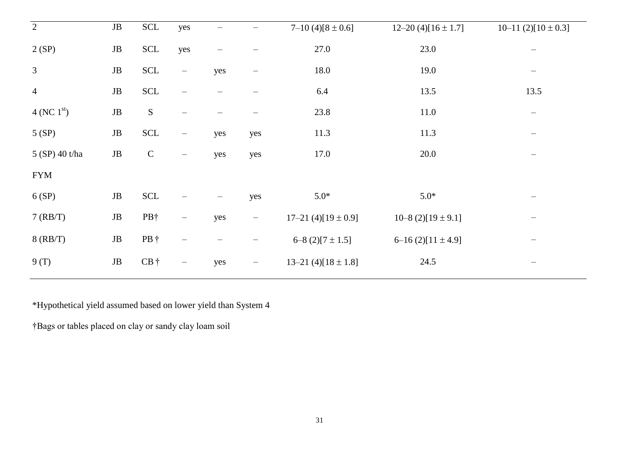| $\overline{2}$       | $\rm{JB}$ | $\ensuremath{\textup{SCL}}\xspace$ | yes                             | $\overline{\phantom{0}}$ | —                 | $7-10(4)[8 \pm 0.6]$        | $12-20$ (4)[16 ± 1.7] | 10-11 (2)[ $10 \pm 0.3$ ] |
|----------------------|-----------|------------------------------------|---------------------------------|--------------------------|-------------------|-----------------------------|-----------------------|---------------------------|
| 2(SP)                | $\rm{JB}$ | $\ensuremath{\textup{SCL}}\xspace$ | yes                             |                          |                   | 27.0                        | 23.0                  | $\overline{\phantom{0}}$  |
| $\mathfrak{Z}$       | $\rm{JB}$ | $\ensuremath{\mathsf{SCL}}$        | $\overline{\phantom{m}}$        | yes                      | —                 | 18.0                        | 19.0                  | $\qquad \qquad -$         |
| $\overline{4}$       | $\rm{JB}$ | $\ensuremath{\mathsf{SCL}}$        | $\qquad \qquad -$               |                          |                   | 6.4                         | 13.5                  | 13.5                      |
| 4 (NC $1^{\rm st}$ ) | $\rm{JB}$ | ${\bf S}$                          |                                 |                          |                   | 23.8                        | 11.0                  |                           |
| 5(SP)                | $\rm{JB}$ | $\ensuremath{\mathsf{SCL}}$        | $\overline{\phantom{m}}$        | yes                      | yes               | 11.3                        | 11.3                  | $\qquad \qquad -$         |
| 5 (SP) 40 t/ha       | $\rm{JB}$ | $\mathsf C$                        | $\overline{\phantom{m}}$        | yes                      | yes               | 17.0                        | 20.0                  |                           |
| <b>FYM</b>           |           |                                    |                                 |                          |                   |                             |                       |                           |
| 6(SP)                | $\rm{JB}$ | $\ensuremath{\mathsf{SCL}}$        |                                 | —                        | yes               | $5.0*$                      | $5.0*$                |                           |
| 7 (RB/T)             | $\rm{JB}$ | PB†                                | $\overline{\phantom{m}}$        | yes                      | $\equiv$          | $17-21$ (4)[ $19 \pm 0.9$ ] | $10-8$ (2)[19 ± 9.1]  | -                         |
| $8$ (RB/T)           | $\rm{JB}$ | PB †                               | $\overline{\phantom{m}}$        | —                        | —                 | $6-8$ (2)[7 $\pm$ 1.5]      | $6-16(2)[11 \pm 4.9]$ |                           |
| 9(T)                 | $\rm{JB}$ | $CB \dagger$                       | $\hspace{0.1mm}-\hspace{0.1mm}$ | yes                      | $\qquad \qquad -$ | 13-21 (4)[ $18 \pm 1.8$ ]   | 24.5                  |                           |

\*Hypothetical yield assumed based on lower yield than System 4

†Bags or tables placed on clay or sandy clay loam soil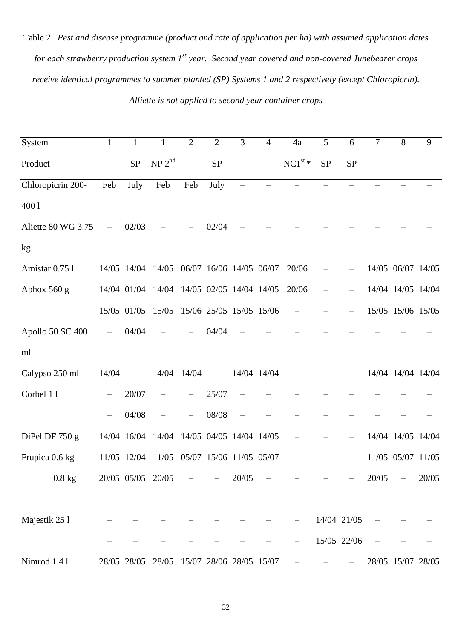Table 2. *Pest and disease programme (product and rate of application per ha) with assumed application dates for each strawberry production system 1st year. Second year covered and non-covered Junebearer crops receive identical programmes to summer planted (SP) Systems 1 and 2 respectively (except Chloropicrin). Alliette is not applied to second year container crops*

| System             | $\mathbf{1}$      | $\mathbf{1}$      | $\mathbf{1}$                              | $\overline{2}$ | $\overline{2}$          | 3     | $\overline{4}$ | 4a               | 5         | 6           | $\overline{7}$ | $8\,$             | 9     |
|--------------------|-------------------|-------------------|-------------------------------------------|----------------|-------------------------|-------|----------------|------------------|-----------|-------------|----------------|-------------------|-------|
| Product            |                   | <b>SP</b>         | NP 2 <sup>nd</sup>                        |                | <b>SP</b>               |       |                | $\rm NC1^{st}$ * | <b>SP</b> | <b>SP</b>   |                |                   |       |
| Chloropicrin 200-  | Feb               | July              | Feb                                       | Feb            | July                    |       |                |                  |           |             |                |                   |       |
| 4001               |                   |                   |                                           |                |                         |       |                |                  |           |             |                |                   |       |
| Aliette 80 WG 3.75 |                   | 02/03             |                                           |                | 02/04                   |       |                |                  |           |             |                |                   |       |
| kg                 |                   |                   |                                           |                |                         |       |                |                  |           |             |                |                   |       |
| Amistar 0.75 l     |                   |                   | 14/05 14/04 14/05 06/07 16/06 14/05 06/07 |                |                         |       |                | 20/06            |           |             |                | 14/05 06/07 14/05 |       |
| Aphox 560 g        |                   |                   | 14/04 01/04 14/04                         |                | 14/05 02/05 14/04 14/05 |       |                | 20/06            |           |             |                | 14/04 14/05 14/04 |       |
|                    |                   | 15/05 01/05       | 15/05                                     |                | 15/06 25/05 15/05 15/06 |       |                |                  |           |             |                | 15/05 15/06 15/05 |       |
| Apollo 50 SC 400   |                   | 04/04             |                                           |                | 04/04                   |       |                |                  |           |             |                |                   |       |
| ml                 |                   |                   |                                           |                |                         |       |                |                  |           |             |                |                   |       |
| Calypso 250 ml     | 14/04             |                   | 14/04 14/04                               |                |                         |       | 14/04 14/04    |                  |           |             |                | 14/04 14/04 14/04 |       |
| Corbel 11          | $\qquad \qquad -$ | 20/07             |                                           |                | 25/07                   |       |                |                  |           |             |                |                   |       |
|                    |                   | 04/08             |                                           |                | 08/08                   |       |                |                  |           |             |                |                   |       |
| DiPel DF 750 g     |                   | 14/04 16/04       | 14/04                                     |                | 14/05 04/05 14/04 14/05 |       |                |                  |           |             |                | 14/04 14/05 14/04 |       |
| Frupica 0.6 kg     |                   | 11/05 12/04       | 11/05 05/07 15/06 11/05 05/07             |                |                         |       |                |                  |           |             |                | 11/05 05/07 11/05 |       |
| $0.8$ kg           |                   | 20/05 05/05 20/05 |                                           |                |                         | 20/05 |                |                  |           |             | 20/05          |                   | 20/05 |
|                    |                   |                   |                                           |                |                         |       |                |                  |           |             |                |                   |       |
| Majestik 25 l      |                   |                   |                                           |                |                         |       |                |                  |           | 14/04 21/05 |                |                   |       |
|                    |                   |                   |                                           |                |                         |       |                |                  |           | 15/05 22/06 |                |                   |       |
| Nimrod 1.41        |                   | 28/05 28/05       | 28/05 15/07 28/06 28/05 15/07             |                |                         |       |                |                  |           |             |                | 28/05 15/07 28/05 |       |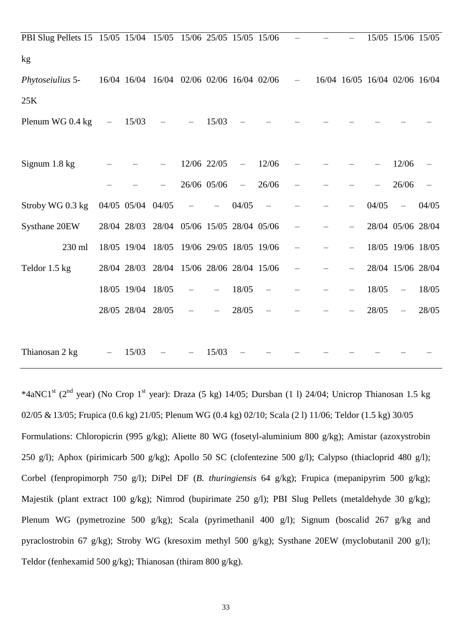| PBI Slug Pellets 15 15/05 15/04 15/05 15/06 25/05 15/05 15/06 |                   |                   |                                           |                               |             |                          |       |                          |  |       | 15/05 15/06 15/05             |       |
|---------------------------------------------------------------|-------------------|-------------------|-------------------------------------------|-------------------------------|-------------|--------------------------|-------|--------------------------|--|-------|-------------------------------|-------|
| kg                                                            |                   |                   |                                           |                               |             |                          |       |                          |  |       |                               |       |
| Phytoseiulius 5-                                              |                   |                   | 16/04 16/04 16/04 02/06 02/06 16/04 02/06 |                               |             |                          |       | $\overline{\phantom{0}}$ |  |       | 16/04 16/05 16/04 02/06 16/04 |       |
| 25K                                                           |                   |                   |                                           |                               |             |                          |       |                          |  |       |                               |       |
| Plenum WG 0.4 kg                                              | $\qquad \qquad -$ | 15/03             |                                           |                               | 15/03       |                          |       |                          |  |       |                               |       |
|                                                               |                   |                   |                                           |                               |             |                          |       |                          |  |       |                               |       |
| Signum 1.8 kg                                                 |                   |                   |                                           |                               | 12/06 22/05 | $\overline{\phantom{m}}$ | 12/06 |                          |  |       | 12/06                         |       |
|                                                               |                   |                   |                                           |                               | 26/06 05/06 | $\overline{\phantom{m}}$ | 26/06 |                          |  |       | 26/06                         |       |
| Stroby WG 0.3 kg                                              |                   | 04/05 05/04 04/05 |                                           |                               |             | 04/05                    |       |                          |  | 04/05 |                               | 04/05 |
| Systhane 20EW                                                 |                   |                   | 28/04 28/03 28/04 05/06 15/05 28/04 05/06 |                               |             |                          |       |                          |  |       | 28/04 05/06 28/04             |       |
| 230 ml                                                        |                   | 18/05 19/04       | 18/05                                     | 19/06 29/05 18/05 19/06       |             |                          |       |                          |  |       | 18/05 19/06 18/05             |       |
| Teldor 1.5 kg                                                 |                   | 28/04 28/03       |                                           | 28/04 15/06 28/06 28/04 15/06 |             |                          |       |                          |  |       | 28/04 15/06 28/04             |       |
|                                                               |                   | 18/05 19/04 18/05 |                                           |                               |             | 18/05                    |       |                          |  | 18/05 |                               | 18/05 |
|                                                               |                   | 28/05 28/04 28/05 |                                           |                               |             | 28/05                    |       |                          |  | 28/05 |                               | 28/05 |
|                                                               |                   |                   |                                           |                               |             |                          |       |                          |  |       |                               |       |
| Thianosan 2 kg                                                |                   | 15/03             |                                           |                               | 15/03       |                          |       |                          |  |       |                               |       |
|                                                               |                   |                   |                                           |                               |             |                          |       |                          |  |       |                               |       |

\*4aNC1<sup>st</sup> (2<sup>nd</sup> year) (No Crop 1<sup>st</sup> year): Draza (5 kg) 14/05; Dursban (1 l) 24/04; Unicrop Thianosan 1.5 kg 02/05 & 13/05; Frupica (0.6 kg) 21/05; Plenum WG (0.4 kg) 02/10; Scala (2 l) 11/06; Teldor (1.5 kg) 30/05 Formulations: Chloropicrin (995 g/kg); Aliette 80 WG (fosetyl-aluminium 800 g/kg); Amistar (azoxystrobin 250 g/l); Aphox (pirimicarb 500 g/kg); Apollo 50 SC (clofentezine 500 g/l); Calypso (thiacloprid 480 g/l); Corbel (fenpropimorph 750 g/l); DiPel DF (*B. thuringiensis* 64 g/kg); Frupica (mepanipyrim 500 g/kg); Majestik (plant extract 100 g/kg); Nimrod (bupirimate 250 g/l); PBI Slug Pellets (metaldehyde 30 g/kg); Plenum WG (pymetrozine 500 g/kg); Scala (pyrimethanil 400 g/l); Signum (boscalid 267 g/kg and pyraclostrobin 67 g/kg); Stroby WG (kresoxim methyl 500 g/kg); Systhane 20EW (myclobutanil 200 g/l); Teldor (fenhexamid 500 g/kg); Thianosan (thiram 800 g/kg).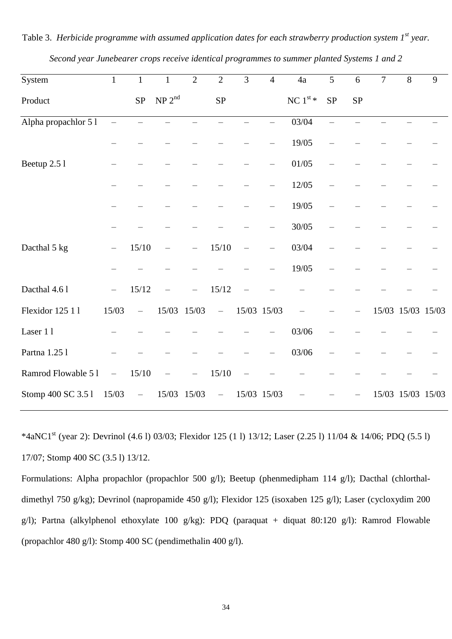| System               | $\mathbf{1}$      | $\mathbf{1}$                      | $\mathbf{1}$       | $\overline{2}$ | $\overline{2}$           | $\overline{3}$ | $\overline{4}$ | 4a                | $\overline{5}$ | 6          | $\overline{7}$ | $\overline{8}$    | $\overline{9}$ |
|----------------------|-------------------|-----------------------------------|--------------------|----------------|--------------------------|----------------|----------------|-------------------|----------------|------------|----------------|-------------------|----------------|
| Product              |                   | SP                                | NP 2 <sup>nd</sup> |                | ${\rm SP}$               |                |                | NC $1^{\rm st} *$ | SP             | ${\rm SP}$ |                |                   |                |
| Alpha propachlor 5 l |                   |                                   |                    |                |                          |                |                | 03/04             |                |            |                |                   |                |
|                      |                   |                                   |                    |                |                          |                |                | 19/05             |                |            |                |                   |                |
| Beetup 2.5 l         |                   |                                   |                    |                |                          |                |                | 01/05             |                |            |                |                   |                |
|                      |                   |                                   |                    |                |                          |                |                | 12/05             |                |            |                |                   |                |
|                      |                   |                                   |                    |                |                          |                |                | 19/05             |                |            |                |                   |                |
|                      |                   |                                   |                    |                |                          |                |                | 30/05             |                |            |                |                   |                |
| Dacthal 5 kg         |                   | 15/10                             |                    |                | 15/10                    |                | $\equiv$       | 03/04             |                |            |                |                   |                |
|                      |                   |                                   |                    |                |                          |                |                | 19/05             |                |            |                |                   |                |
| Dacthal 4.61         |                   | 15/12                             |                    |                | 15/12                    |                |                |                   |                |            |                |                   |                |
| Flexidor 125 1 1     | 15/03             | $\overline{\phantom{0}}$          |                    | 15/03 15/03    | $\overline{\phantom{0}}$ |                | 15/03 15/03    |                   |                |            |                | 15/03 15/03 15/03 |                |
| Laser 11             |                   |                                   |                    |                |                          |                |                | 03/06             |                |            |                |                   |                |
| Partna 1.25 l        |                   |                                   |                    |                |                          |                |                | 03/06             |                |            |                |                   |                |
| Ramrod Flowable 51   | $\qquad \qquad -$ | 15/10                             |                    |                | 15/10                    |                |                |                   |                |            |                |                   |                |
| Stomp 400 SC 3.51    | 15/03             | $\hspace{1.0cm} - \hspace{1.0cm}$ |                    | 15/03 15/03    | -                        |                | 15/03 15/03    |                   |                |            |                | 15/03 15/03 15/03 |                |

Table 3. *Herbicide programme with assumed application dates for each strawberry production system 1<sup>st</sup> year. Second year Junebearer crops receive identical programmes to summer planted Systems 1 and 2*

\*4aNC1st (year 2): Devrinol (4.6 l) 03/03; Flexidor 125 (1 l) 13/12; Laser (2.25 l) 11/04 & 14/06; PDQ (5.5 l) 17/07; Stomp 400 SC (3.5 l) 13/12.

Formulations: Alpha propachlor (propachlor 500 g/l); Beetup (phenmedipham 114 g/l); Dacthal (chlorthaldimethyl 750 g/kg); Devrinol (napropamide 450 g/l); Flexidor 125 (isoxaben 125 g/l); Laser (cycloxydim 200 g/l); Partna (alkylphenol ethoxylate 100 g/kg): PDQ (paraquat + diquat 80:120 g/l): Ramrod Flowable (propachlor 480 g/l): Stomp 400 SC (pendimethalin 400 g/l).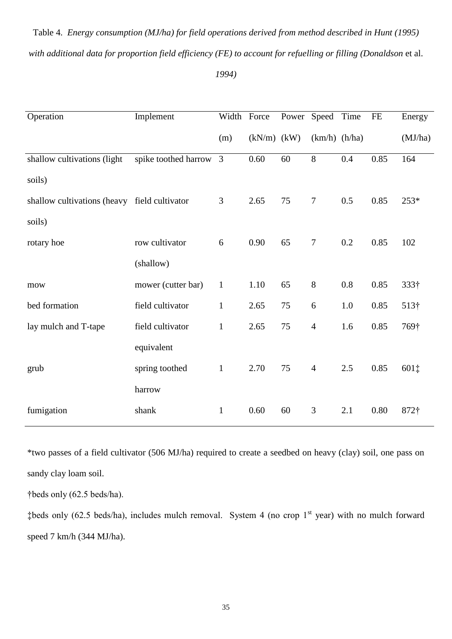| Operation                                    | Implement            | Width Force  |                 | Power Speed |                   | Time | FE   | Energy       |
|----------------------------------------------|----------------------|--------------|-----------------|-------------|-------------------|------|------|--------------|
|                                              |                      | (m)          | $(kN/m)$ $(kW)$ |             | $(km/h)$ $(h/ha)$ |      |      | (MJ/ha)      |
| shallow cultivations (light                  | spike toothed harrow | 3            | 0.60            | 60          | 8                 | 0.4  | 0.85 | 164          |
| soils)                                       |                      |              |                 |             |                   |      |      |              |
| shallow cultivations (heavy field cultivator |                      | 3            | 2.65            | 75          | $\tau$            | 0.5  | 0.85 | 253*         |
| soils)                                       |                      |              |                 |             |                   |      |      |              |
| rotary hoe                                   | row cultivator       | 6            | 0.90            | 65          | $\tau$            | 0.2  | 0.85 | 102          |
|                                              | (shallow)            |              |                 |             |                   |      |      |              |
| mow                                          | mower (cutter bar)   | $\mathbf{1}$ | 1.10            | 65          | $8\,$             | 0.8  | 0.85 | 333†         |
| bed formation                                | field cultivator     | $\mathbf{1}$ | 2.65            | 75          | 6                 | 1.0  | 0.85 | $513\dagger$ |
| lay mulch and T-tape                         | field cultivator     | $\mathbf{1}$ | 2.65            | 75          | $\overline{4}$    | 1.6  | 0.85 | 769†         |
|                                              | equivalent           |              |                 |             |                   |      |      |              |
| grub                                         | spring toothed       | $\mathbf{1}$ | 2.70            | 75          | $\overline{4}$    | 2.5  | 0.85 | 601‡         |
|                                              | harrow               |              |                 |             |                   |      |      |              |
| fumigation                                   | shank                | $\mathbf{1}$ | 0.60            | 60          | 3                 | 2.1  | 0.80 | $872\dagger$ |

Table 4. *Energy consumption (MJ/ha) for field operations derived from method described in Hunt (1995) with additional data for proportion field efficiency (FE) to account for refuelling or filling (Donaldson* et al.

*1994)*

\*two passes of a field cultivator (506 MJ/ha) required to create a seedbed on heavy (clay) soil, one pass on sandy clay loam soil.

†beds only (62.5 beds/ha).

 $\text{\#beds}$  only (62.5 beds/ha), includes mulch removal. System 4 (no crop 1st year) with no mulch forward speed 7 km/h (344 MJ/ha).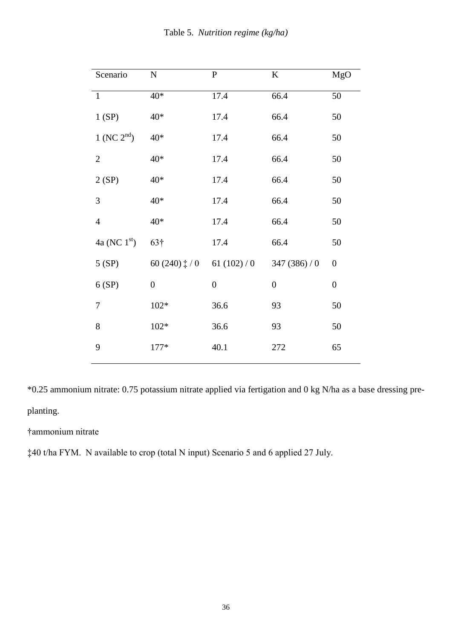|  | Table 5. Nutrition regime (kg/ha) |  |  |
|--|-----------------------------------|--|--|
|--|-----------------------------------|--|--|

| Scenario                  | ${\bf N}$             | ${\bf P}$        | $\bf K$          | MgO              |
|---------------------------|-----------------------|------------------|------------------|------------------|
| $\mathbf{1}$              | $40*$                 | 17.4             | 66.4             | 50               |
| 1(SP)                     | $40*$                 | 17.4             | 66.4             | 50               |
| $1$ (NC $2^{\text{nd}}$ ) | $40*$                 | 17.4             | 66.4             | 50               |
| $\mathbf{2}$              | $40*$                 | 17.4             | 66.4             | 50               |
| 2(SP)                     | $40*$                 | 17.4             | 66.4             | 50               |
| 3                         | $40*$                 | 17.4             | 66.4             | 50               |
| $\overline{4}$            | $40*$                 | 17.4             | 66.4             | 50               |
| 4a (NC $1^{\rm st}$ )     | 63†                   | 17.4             | 66.4             | 50               |
| 5(SP)                     | 60 (240) $\ddagger/0$ | 61 $(102)/0$     | 347 $(386)/0$    | $\boldsymbol{0}$ |
| 6(SP)                     | $\boldsymbol{0}$      | $\boldsymbol{0}$ | $\boldsymbol{0}$ | $\boldsymbol{0}$ |
| 7                         | $102*$                | 36.6             | 93               | 50               |
| 8                         | $102*$                | 36.6             | 93               | 50               |
| 9                         | $177*$                | 40.1             | 272              | 65               |
|                           |                       |                  |                  |                  |

\*0.25 ammonium nitrate: 0.75 potassium nitrate applied via fertigation and 0 kg N/ha as a base dressing preplanting.

# †ammonium nitrate

‡40 t/ha FYM. N available to crop (total N input) Scenario 5 and 6 applied 27 July.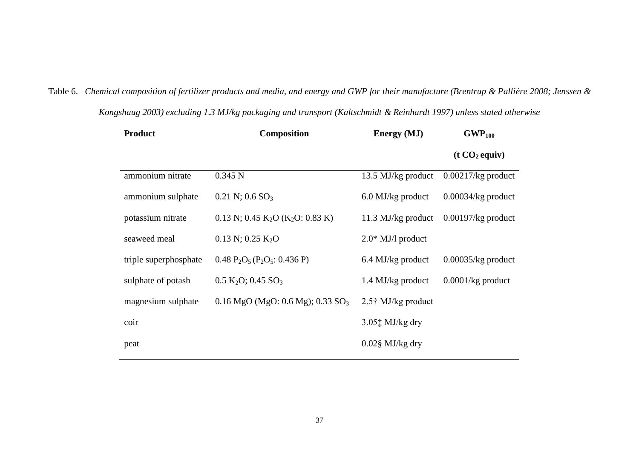| <b>Product</b>        | Composition                                                         | <b>Energy</b> (MJ)                           | GWP <sub>100</sub>   |
|-----------------------|---------------------------------------------------------------------|----------------------------------------------|----------------------|
|                       |                                                                     |                                              | $(t CO2$ equiv)      |
| ammonium nitrate      | 0.345 N                                                             | 13.5 MJ/kg product                           | $0.00217/kg$ product |
| ammonium sulphate     | $0.21$ N; $0.6$ SO <sub>3</sub>                                     | 6.0 MJ/kg product                            | $0.00034/kg$ product |
| potassium nitrate     | $0.13$ N; $0.45$ K <sub>2</sub> O (K <sub>2</sub> O: 0.83 K)        | 11.3 MJ/kg product                           | $0.00197/kg$ product |
| seaweed meal          | $0.13$ N; $0.25$ K <sub>2</sub> O                                   | $2.0*$ MJ/l product                          |                      |
| triple superphosphate | $0.48 \text{ P}_2\text{O}_5(\text{P}_2\text{O}_5: 0.436 \text{ P})$ | 6.4 MJ/kg product                            | $0.00035/kg$ product |
| sulphate of potash    | $0.5 \text{ K}_2\text{O}$ ; 0.45 SO <sub>3</sub>                    | 1.4 MJ/kg product                            | $0.0001/kg$ product  |
| magnesium sulphate    | $0.16 \text{ MgO}$ (MgO: 0.6 Mg); 0.33 SO <sub>3</sub>              | $2.5\dagger$ MJ/kg product                   |                      |
| coir                  |                                                                     | $3.05$ <sup><math>\pm</math></sup> MJ/kg dry |                      |
| peat                  |                                                                     | $0.02$ § MJ/kg dry                           |                      |

*Kongshaug 2003) excluding 1.3 MJ/kg packaging and transport (Kaltschmidt & Reinhardt 1997) unless stated otherwise*

Table 6. *Chemical composition of fertilizer products and media, and energy and GWP for their manufacture (Brentrup & Pallière 2008; Jenssen &*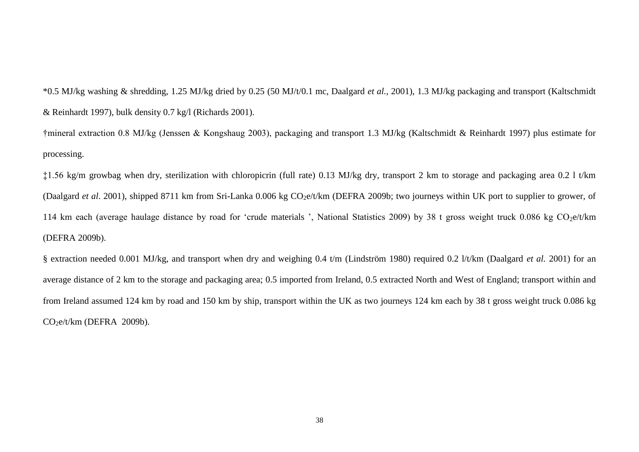\*0.5 MJ/kg washing & shredding, 1.25 MJ/kg dried by 0.25 (50 MJ/t/0.1 mc, Daalgard *et al.*, 2001), 1.3 MJ/kg packaging and transport (Kaltschmidt & Reinhardt 1997), bulk density 0.7 kg/l (Richards 2001).

†mineral extraction 0.8 MJ/kg (Jenssen & Kongshaug 2003), packaging and transport 1.3 MJ/kg (Kaltschmidt & Reinhardt 1997) plus estimate for processing.

‡1.56 kg/m growbag when dry, sterilization with chloropicrin (full rate) 0.13 MJ/kg dry, transport 2 km to storage and packaging area 0.2 l t/km (Daalgard *et al.* 2001), shipped 8711 km from Sri-Lanka 0.006 kg CO<sub>2</sub>e/t/km (DEFRA 2009b; two journeys within UK port to supplier to grower, of 114 km each (average haulage distance by road for 'crude materials ', National Statistics 2009) by 38 t gross weight truck 0.086 kg CO<sub>2</sub>e/t/km (DEFRA 2009b).

§ extraction needed 0.001 MJ/kg, and transport when dry and weighing 0.4 t/m (Lindström 1980) required 0.2 l/t/km (Daalgard *et al.* 2001) for an average distance of 2 km to the storage and packaging area; 0.5 imported from Ireland, 0.5 extracted North and West of England; transport within and from Ireland assumed 124 km by road and 150 km by ship, transport within the UK as two journeys 124 km each by 38 t gross weight truck 0.086 kg  $CO<sub>2</sub>e/t/km$  (DEFRA 2009b).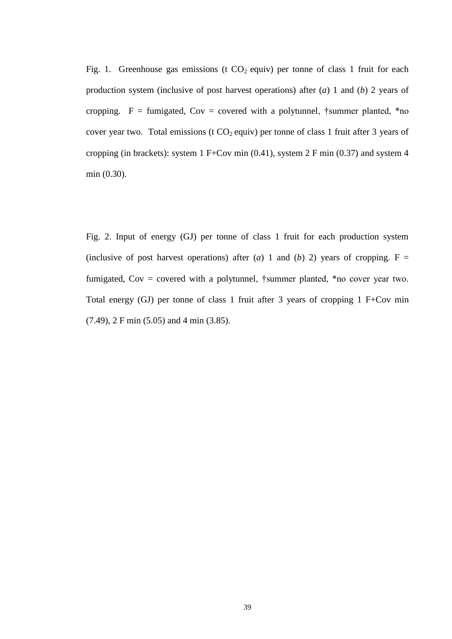Fig. 1. Greenhouse gas emissions (t  $CO<sub>2</sub>$  equiv) per tonne of class 1 fruit for each production system (inclusive of post harvest operations) after (*a*) 1 and (*b*) 2 years of cropping.  $F =$  fumigated, Cov = covered with a polytunnel, †summer planted, \*no cover year two. Total emissions (t  $CO<sub>2</sub>$  equiv) per tonne of class 1 fruit after 3 years of cropping (in brackets): system 1 F+Cov min (0.41), system 2 F min (0.37) and system 4 min (0.30).

Fig. 2. Input of energy (GJ) per tonne of class 1 fruit for each production system (inclusive of post harvest operations) after (*a*) 1 and (*b*) 2) years of cropping.  $F =$ fumigated,  $Cov = covered$  with a polytunnel, †summer planted, \*no cover year two. Total energy (GJ) per tonne of class 1 fruit after 3 years of cropping 1 F+Cov min (7.49), 2 F min (5.05) and 4 min (3.85).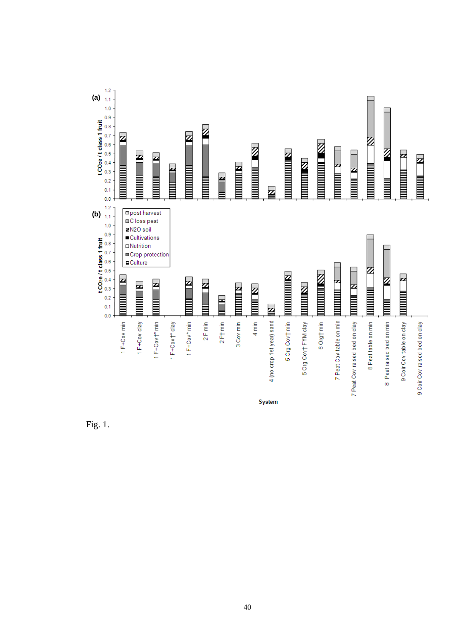

Fig. 1.